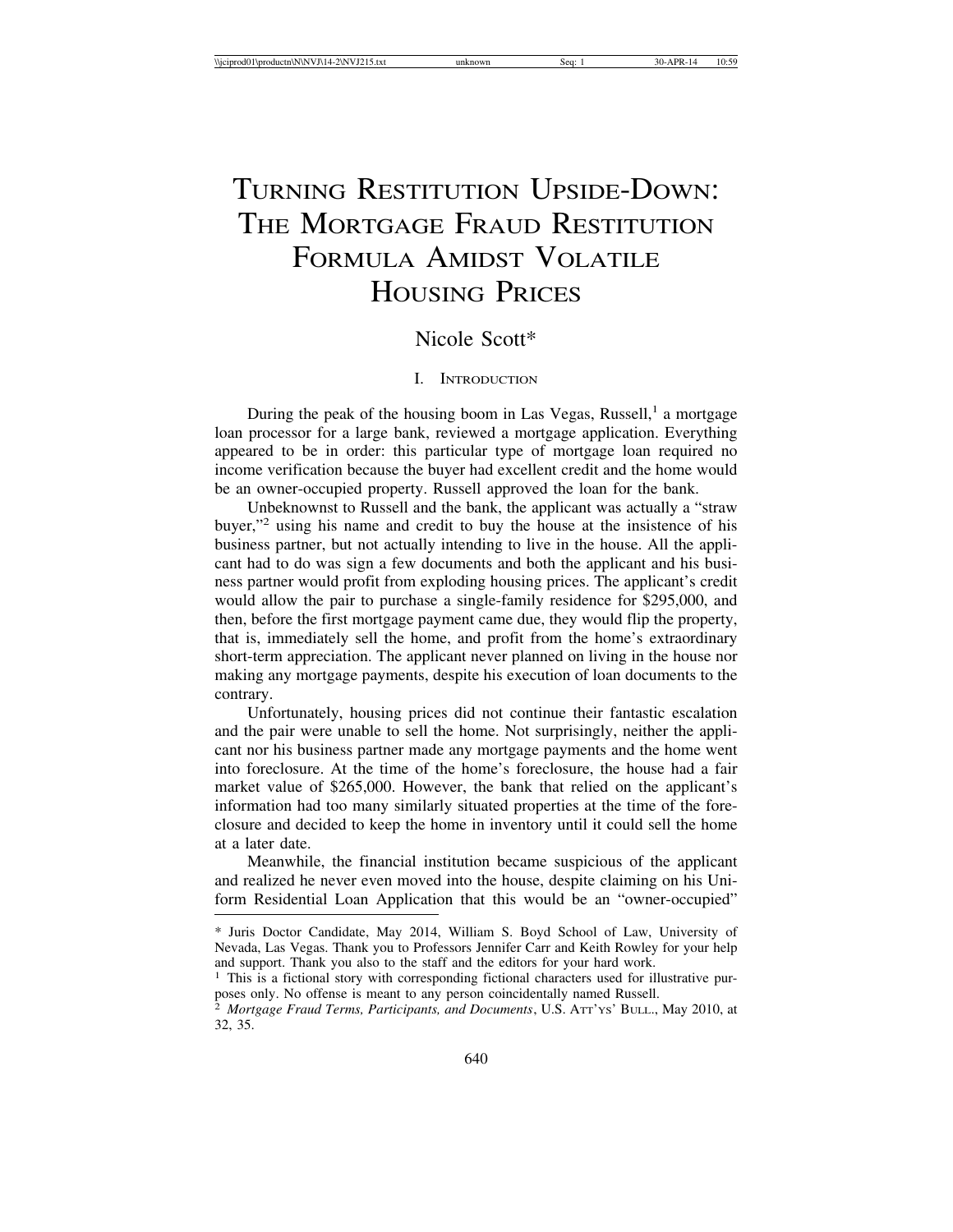# TURNING RESTITUTION UPSIDE-DOWN: THE MORTGAGE FRAUD RESTITUTION FORMULA AMIDST VOLATILE HOUSING PRICES

# Nicole Scott\*

#### I. INTRODUCTION

During the peak of the housing boom in Las Vegas, Russell,<sup>1</sup> a mortgage loan processor for a large bank, reviewed a mortgage application. Everything appeared to be in order: this particular type of mortgage loan required no income verification because the buyer had excellent credit and the home would be an owner-occupied property. Russell approved the loan for the bank.

Unbeknownst to Russell and the bank, the applicant was actually a "straw buyer,"2 using his name and credit to buy the house at the insistence of his business partner, but not actually intending to live in the house. All the applicant had to do was sign a few documents and both the applicant and his business partner would profit from exploding housing prices. The applicant's credit would allow the pair to purchase a single-family residence for \$295,000, and then, before the first mortgage payment came due, they would flip the property, that is, immediately sell the home, and profit from the home's extraordinary short-term appreciation. The applicant never planned on living in the house nor making any mortgage payments, despite his execution of loan documents to the contrary.

Unfortunately, housing prices did not continue their fantastic escalation and the pair were unable to sell the home. Not surprisingly, neither the applicant nor his business partner made any mortgage payments and the home went into foreclosure. At the time of the home's foreclosure, the house had a fair market value of \$265,000. However, the bank that relied on the applicant's information had too many similarly situated properties at the time of the foreclosure and decided to keep the home in inventory until it could sell the home at a later date.

Meanwhile, the financial institution became suspicious of the applicant and realized he never even moved into the house, despite claiming on his Uniform Residential Loan Application that this would be an "owner-occupied"

<sup>\*</sup> Juris Doctor Candidate, May 2014, William S. Boyd School of Law, University of Nevada, Las Vegas. Thank you to Professors Jennifer Carr and Keith Rowley for your help and support. Thank you also to the staff and the editors for your hard work.

<sup>&</sup>lt;sup>1</sup> This is a fictional story with corresponding fictional characters used for illustrative purposes only. No offense is meant to any person coincidentally named Russell.

<sup>2</sup> *Mortgage Fraud Terms, Participants, and Documents*, U.S. ATT'YS' BULL., May 2010, at 32, 35.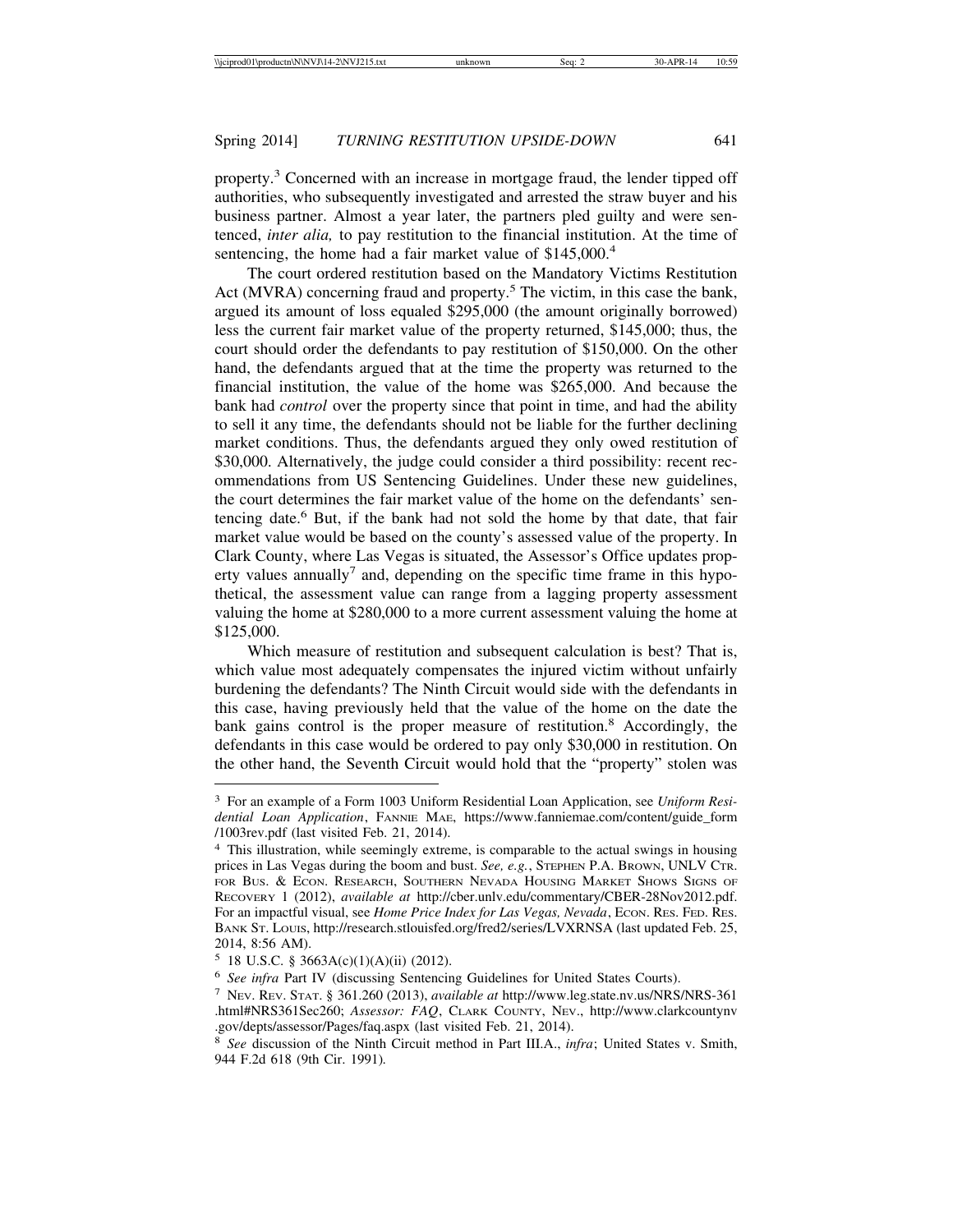property.<sup>3</sup> Concerned with an increase in mortgage fraud, the lender tipped off authorities, who subsequently investigated and arrested the straw buyer and his business partner. Almost a year later, the partners pled guilty and were sentenced, *inter alia,* to pay restitution to the financial institution. At the time of sentencing, the home had a fair market value of \$145,000.<sup>4</sup>

The court ordered restitution based on the Mandatory Victims Restitution Act (MVRA) concerning fraud and property.<sup>5</sup> The victim, in this case the bank, argued its amount of loss equaled \$295,000 (the amount originally borrowed) less the current fair market value of the property returned, \$145,000; thus, the court should order the defendants to pay restitution of \$150,000. On the other hand, the defendants argued that at the time the property was returned to the financial institution, the value of the home was \$265,000. And because the bank had *control* over the property since that point in time, and had the ability to sell it any time, the defendants should not be liable for the further declining market conditions. Thus, the defendants argued they only owed restitution of \$30,000. Alternatively, the judge could consider a third possibility: recent recommendations from US Sentencing Guidelines. Under these new guidelines, the court determines the fair market value of the home on the defendants' sentencing date.<sup>6</sup> But, if the bank had not sold the home by that date, that fair market value would be based on the county's assessed value of the property. In Clark County, where Las Vegas is situated, the Assessor's Office updates property values annually<sup>7</sup> and, depending on the specific time frame in this hypothetical, the assessment value can range from a lagging property assessment valuing the home at \$280,000 to a more current assessment valuing the home at \$125,000.

Which measure of restitution and subsequent calculation is best? That is, which value most adequately compensates the injured victim without unfairly burdening the defendants? The Ninth Circuit would side with the defendants in this case, having previously held that the value of the home on the date the bank gains control is the proper measure of restitution.<sup>8</sup> Accordingly, the defendants in this case would be ordered to pay only \$30,000 in restitution. On the other hand, the Seventh Circuit would hold that the "property" stolen was

<sup>3</sup> For an example of a Form 1003 Uniform Residential Loan Application, see *Uniform Residential Loan Application*, FANNIE MAE, https://www.fanniemae.com/content/guide\_form /1003rev.pdf (last visited Feb. 21, 2014).

<sup>4</sup> This illustration, while seemingly extreme, is comparable to the actual swings in housing prices in Las Vegas during the boom and bust. *See, e.g.*, STEPHEN P.A. BROWN, UNLV CTR. FOR BUS. & ECON. RESEARCH, SOUTHERN NEVADA HOUSING MARKET SHOWS SIGNS OF RECOVERY 1 (2012), *available at* http://cber.unlv.edu/commentary/CBER-28Nov2012.pdf. For an impactful visual, see *Home Price Index for Las Vegas, Nevada*, Econ. RES. FED. RES. BANK ST. LOUIS, http://research.stlouisfed.org/fred2/series/LVXRNSA (last updated Feb. 25, 2014, 8:56 AM).

 $5$  18 U.S.C. § 3663A(c)(1)(A)(ii) (2012).

<sup>6</sup> *See infra* Part IV (discussing Sentencing Guidelines for United States Courts).

<sup>7</sup> NEV. REV. STAT. § 361.260 (2013), *available at* http://www.leg.state.nv.us/NRS/NRS-361 .html#NRS361Sec260; *Assessor: FAQ*, CLARK COUNTY, NEV., http://www.clarkcountynv .gov/depts/assessor/Pages/faq.aspx (last visited Feb. 21, 2014).

<sup>8</sup> *See* discussion of the Ninth Circuit method in Part III.A., *infra*; United States v. Smith, 944 F.2d 618 (9th Cir. 1991)*.*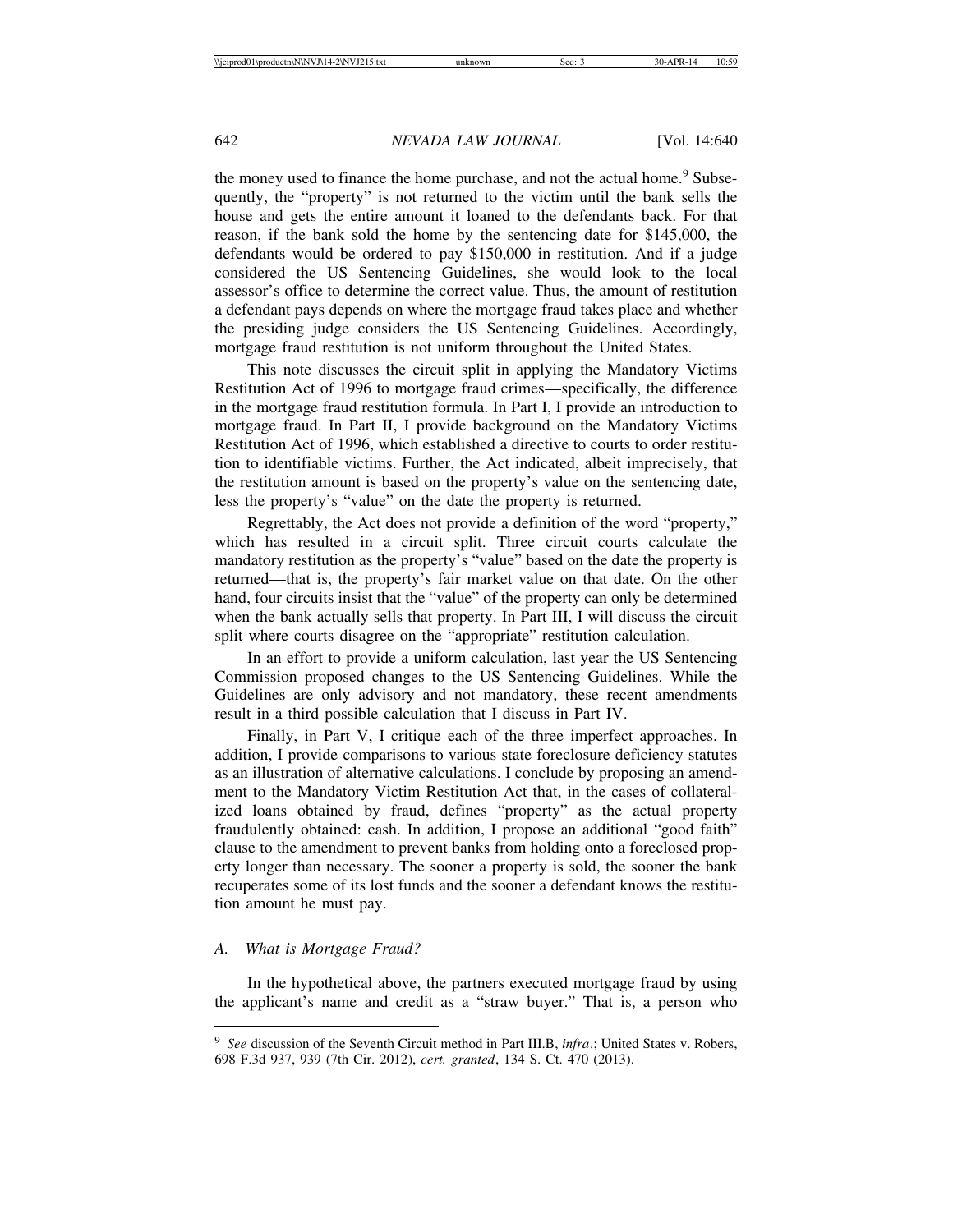the money used to finance the home purchase, and not the actual home.<sup>9</sup> Subsequently, the "property" is not returned to the victim until the bank sells the house and gets the entire amount it loaned to the defendants back. For that reason, if the bank sold the home by the sentencing date for \$145,000, the defendants would be ordered to pay \$150,000 in restitution. And if a judge considered the US Sentencing Guidelines, she would look to the local assessor's office to determine the correct value. Thus, the amount of restitution a defendant pays depends on where the mortgage fraud takes place and whether the presiding judge considers the US Sentencing Guidelines. Accordingly, mortgage fraud restitution is not uniform throughout the United States.

This note discusses the circuit split in applying the Mandatory Victims Restitution Act of 1996 to mortgage fraud crimes—specifically, the difference in the mortgage fraud restitution formula. In Part I, I provide an introduction to mortgage fraud. In Part II, I provide background on the Mandatory Victims Restitution Act of 1996, which established a directive to courts to order restitution to identifiable victims. Further, the Act indicated, albeit imprecisely, that the restitution amount is based on the property's value on the sentencing date, less the property's "value" on the date the property is returned.

Regrettably, the Act does not provide a definition of the word "property," which has resulted in a circuit split. Three circuit courts calculate the mandatory restitution as the property's "value" based on the date the property is returned—that is, the property's fair market value on that date. On the other hand, four circuits insist that the "value" of the property can only be determined when the bank actually sells that property. In Part III, I will discuss the circuit split where courts disagree on the "appropriate" restitution calculation.

In an effort to provide a uniform calculation, last year the US Sentencing Commission proposed changes to the US Sentencing Guidelines. While the Guidelines are only advisory and not mandatory, these recent amendments result in a third possible calculation that I discuss in Part IV.

Finally, in Part V, I critique each of the three imperfect approaches. In addition, I provide comparisons to various state foreclosure deficiency statutes as an illustration of alternative calculations. I conclude by proposing an amendment to the Mandatory Victim Restitution Act that, in the cases of collateralized loans obtained by fraud, defines "property" as the actual property fraudulently obtained: cash. In addition, I propose an additional "good faith" clause to the amendment to prevent banks from holding onto a foreclosed property longer than necessary. The sooner a property is sold, the sooner the bank recuperates some of its lost funds and the sooner a defendant knows the restitution amount he must pay.

#### *A. What is Mortgage Fraud?*

In the hypothetical above, the partners executed mortgage fraud by using the applicant's name and credit as a "straw buyer." That is, a person who

<sup>9</sup> *See* discussion of the Seventh Circuit method in Part III.B, *infra*.; United States v. Robers, 698 F.3d 937, 939 (7th Cir. 2012), *cert. granted*, 134 S. Ct. 470 (2013).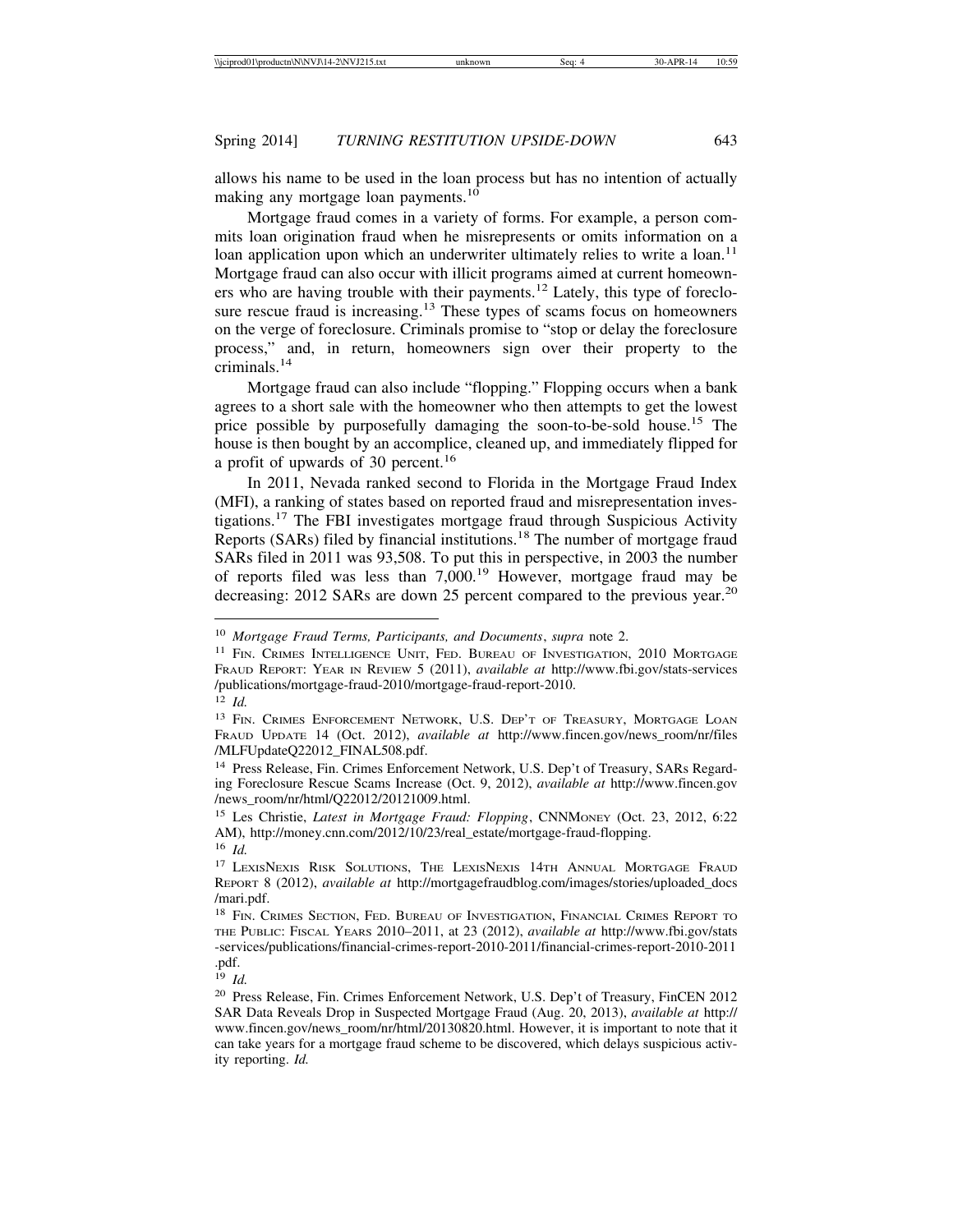allows his name to be used in the loan process but has no intention of actually making any mortgage loan payments.<sup>10</sup>

Mortgage fraud comes in a variety of forms. For example, a person commits loan origination fraud when he misrepresents or omits information on a loan application upon which an underwriter ultimately relies to write a loan.<sup>11</sup> Mortgage fraud can also occur with illicit programs aimed at current homeowners who are having trouble with their payments.12 Lately, this type of foreclosure rescue fraud is increasing.<sup>13</sup> These types of scams focus on homeowners on the verge of foreclosure. Criminals promise to "stop or delay the foreclosure process," and, in return, homeowners sign over their property to the criminals.<sup>14</sup>

Mortgage fraud can also include "flopping." Flopping occurs when a bank agrees to a short sale with the homeowner who then attempts to get the lowest price possible by purposefully damaging the soon-to-be-sold house.15 The house is then bought by an accomplice, cleaned up, and immediately flipped for a profit of upwards of 30 percent.<sup>16</sup>

In 2011, Nevada ranked second to Florida in the Mortgage Fraud Index (MFI), a ranking of states based on reported fraud and misrepresentation investigations.17 The FBI investigates mortgage fraud through Suspicious Activity Reports (SARs) filed by financial institutions.18 The number of mortgage fraud SARs filed in 2011 was 93,508. To put this in perspective, in 2003 the number of reports filed was less than  $7,000$ .<sup>19</sup> However, mortgage fraud may be decreasing: 2012 SARs are down 25 percent compared to the previous year.<sup>20</sup>

<sup>10</sup> *Mortgage Fraud Terms, Participants, and Documents*, *supra* note 2.

<sup>&</sup>lt;sup>11</sup> FIN. CRIMES INTELLIGENCE UNIT, FED. BUREAU OF INVESTIGATION, 2010 MORTGAGE FRAUD REPORT: YEAR IN REVIEW 5 (2011), *available at* http://www.fbi.gov/stats-services /publications/mortgage-fraud-2010/mortgage-fraud-report-2010.

<sup>12</sup> *Id.*

<sup>&</sup>lt;sup>13</sup> FIN. CRIMES ENFORCEMENT NETWORK, U.S. DEP'T OF TREASURY, MORTGAGE LOAN FRAUD UPDATE 14 (Oct. 2012), *available at* http://www.fincen.gov/news\_room/nr/files /MLFUpdateQ22012\_FINAL508.pdf.

<sup>14</sup> Press Release, Fin. Crimes Enforcement Network, U.S. Dep't of Treasury, SARs Regarding Foreclosure Rescue Scams Increase (Oct. 9, 2012), *available at* http://www.fincen.gov /news\_room/nr/html/Q22012/20121009.html.

<sup>15</sup> Les Christie, *Latest in Mortgage Fraud: Flopping*, CNNMONEY (Oct. 23, 2012, 6:22 AM), http://money.cnn.com/2012/10/23/real\_estate/mortgage-fraud-flopping. <sup>16</sup> *Id.*

<sup>&</sup>lt;sup>17</sup> LEXISNEXIS RISK SOLUTIONS, THE LEXISNEXIS 14TH ANNUAL MORTGAGE FRAUD REPORT 8 (2012), *available at* http://mortgagefraudblog.com/images/stories/uploaded\_docs /mari.pdf.

<sup>&</sup>lt;sup>18</sup> FIN. CRIMES SECTION, FED. BUREAU OF INVESTIGATION, FINANCIAL CRIMES REPORT TO THE PUBLIC: FISCAL YEARS 2010–2011, at 23 (2012), *available at* http://www.fbi.gov/stats -services/publications/financial-crimes-report-2010-2011/financial-crimes-report-2010-2011 .pdf.

<sup>19</sup> *Id.*

<sup>20</sup> Press Release, Fin. Crimes Enforcement Network, U.S. Dep't of Treasury, FinCEN 2012 SAR Data Reveals Drop in Suspected Mortgage Fraud (Aug. 20, 2013), *available at* http:// www.fincen.gov/news\_room/nr/html/20130820.html. However, it is important to note that it can take years for a mortgage fraud scheme to be discovered, which delays suspicious activity reporting. *Id.*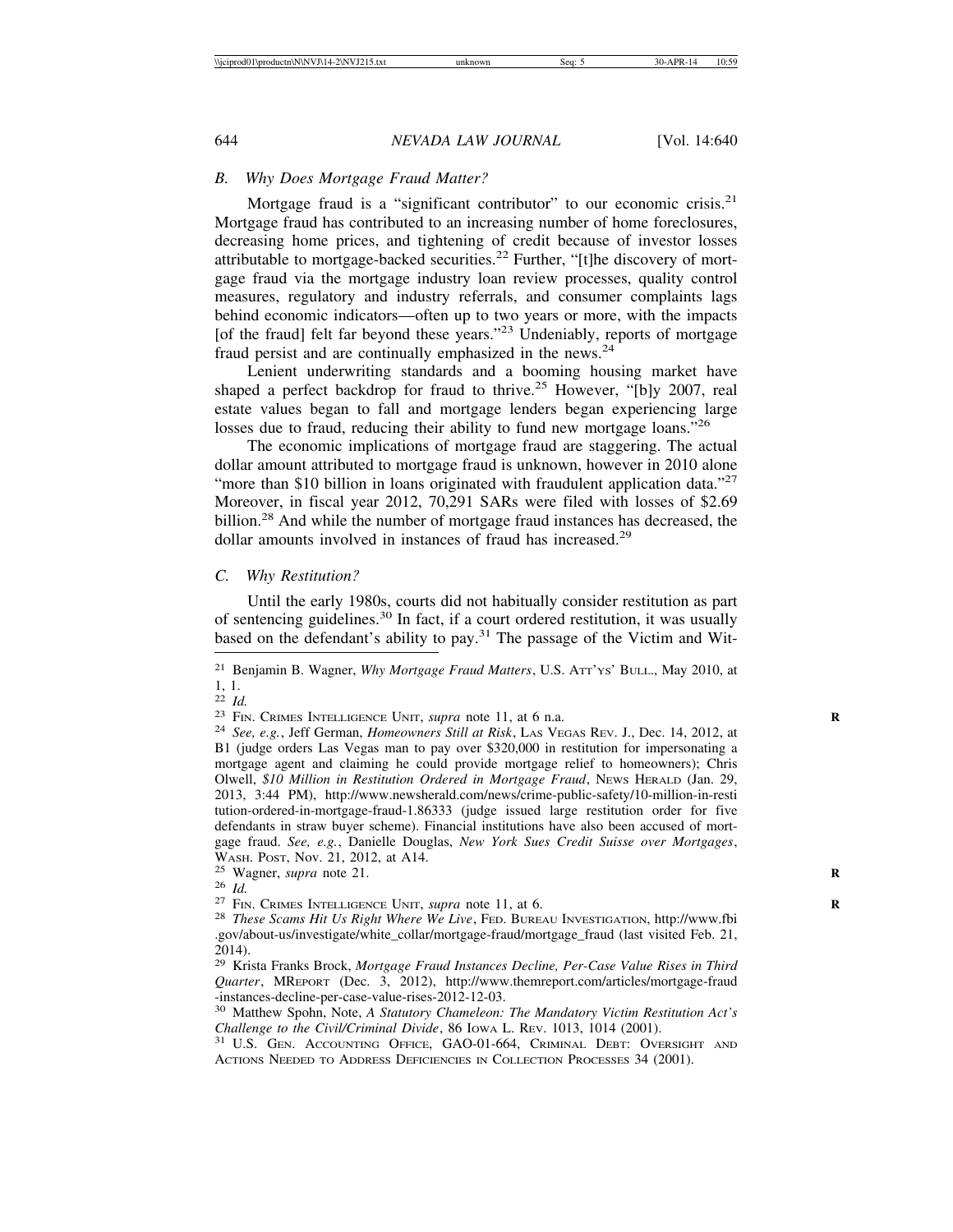# *B. Why Does Mortgage Fraud Matter?*

Mortgage fraud is a "significant contributor" to our economic crisis. $2<sup>1</sup>$ Mortgage fraud has contributed to an increasing number of home foreclosures, decreasing home prices, and tightening of credit because of investor losses attributable to mortgage-backed securities.<sup>22</sup> Further, "[t]he discovery of mortgage fraud via the mortgage industry loan review processes, quality control measures, regulatory and industry referrals, and consumer complaints lags behind economic indicators—often up to two years or more, with the impacts [of the fraud] felt far beyond these years."<sup>23</sup> Undeniably, reports of mortgage fraud persist and are continually emphasized in the news.<sup>24</sup>

Lenient underwriting standards and a booming housing market have shaped a perfect backdrop for fraud to thrive.<sup>25</sup> However, "[b]y 2007, real estate values began to fall and mortgage lenders began experiencing large losses due to fraud, reducing their ability to fund new mortgage loans."<sup>26</sup>

The economic implications of mortgage fraud are staggering. The actual dollar amount attributed to mortgage fraud is unknown, however in 2010 alone "more than \$10 billion in loans originated with fraudulent application data."<sup>27</sup> Moreover, in fiscal year 2012, 70,291 SARs were filed with losses of \$2.69 billion.<sup>28</sup> And while the number of mortgage fraud instances has decreased, the dollar amounts involved in instances of fraud has increased.<sup>29</sup>

#### *C. Why Restitution?*

Until the early 1980s, courts did not habitually consider restitution as part of sentencing guidelines.30 In fact, if a court ordered restitution, it was usually based on the defendant's ability to pay.31 The passage of the Victim and Wit-

<sup>21</sup> Benjamin B. Wagner, *Why Mortgage Fraud Matters*, U.S. ATT'YS' BULL., May 2010, at

 $\frac{1}{22}$ ,  $\frac{1}{1}$ .

<sup>&</sup>lt;sup>23</sup> FIN. CRIMES INTELLIGENCE UNIT, *supra* note 11, at 6 n.a.<br><sup>24</sup> *See, e.g.*, Jeff German, *Homeowners Still at Risk*, LAS VEGAS REV. J., Dec. 14, 2012, at B1 (judge orders Las Vegas man to pay over \$320,000 in restitution for impersonating a mortgage agent and claiming he could provide mortgage relief to homeowners); Chris Olwell, *\$10 Million in Restitution Ordered in Mortgage Fraud*, NEWS HERALD (Jan. 29, 2013, 3:44 PM), http://www.newsherald.com/news/crime-public-safety/10-million-in-resti tution-ordered-in-mortgage-fraud-1.86333 (judge issued large restitution order for five defendants in straw buyer scheme). Financial institutions have also been accused of mortgage fraud. *See, e.g.*, Danielle Douglas, *New York Sues Credit Suisse over Mortgages*, WASH. Post, Nov. 21, 2012, at A14.<br>
<sup>25</sup> Wagner, *supra* note 21.<br>
<sup>26</sup> Id.<br>
<sup>27</sup> Fin. Crimes Intelligence Unit, *supra* note 11, at 6.<br>
<sup>27</sup> Fin. Crimes Intelligence Unit, *supra* note 11, at 6.<br>
<sup>28</sup> These Scams Hit Us R

<sup>.</sup>gov/about-us/investigate/white\_collar/mortgage-fraud/mortgage\_fraud (last visited Feb. 21, 2014).

<sup>29</sup> Krista Franks Brock, *Mortgage Fraud Instances Decline, Per-Case Value Rises in Third Quarter*, MREPORT (Dec. 3, 2012), http://www.themreport.com/articles/mortgage-fraud -instances-decline-per-case-value-rises-2012-12-03.

<sup>30</sup> Matthew Spohn, Note, *A Statutory Chameleon: The Mandatory Victim Restitution Act's Challenge to the Civil/Criminal Divide*, 86 IOWA L. REV. 1013, 1014 (2001). <sup>31</sup> U.S. GEN. ACCOUNTING OFFICE, GAO-01-664, CRIMINAL DEBT: OVERSIGHT AND

ACTIONS NEEDED TO ADDRESS DEFICIENCIES IN COLLECTION PROCESSES 34 (2001).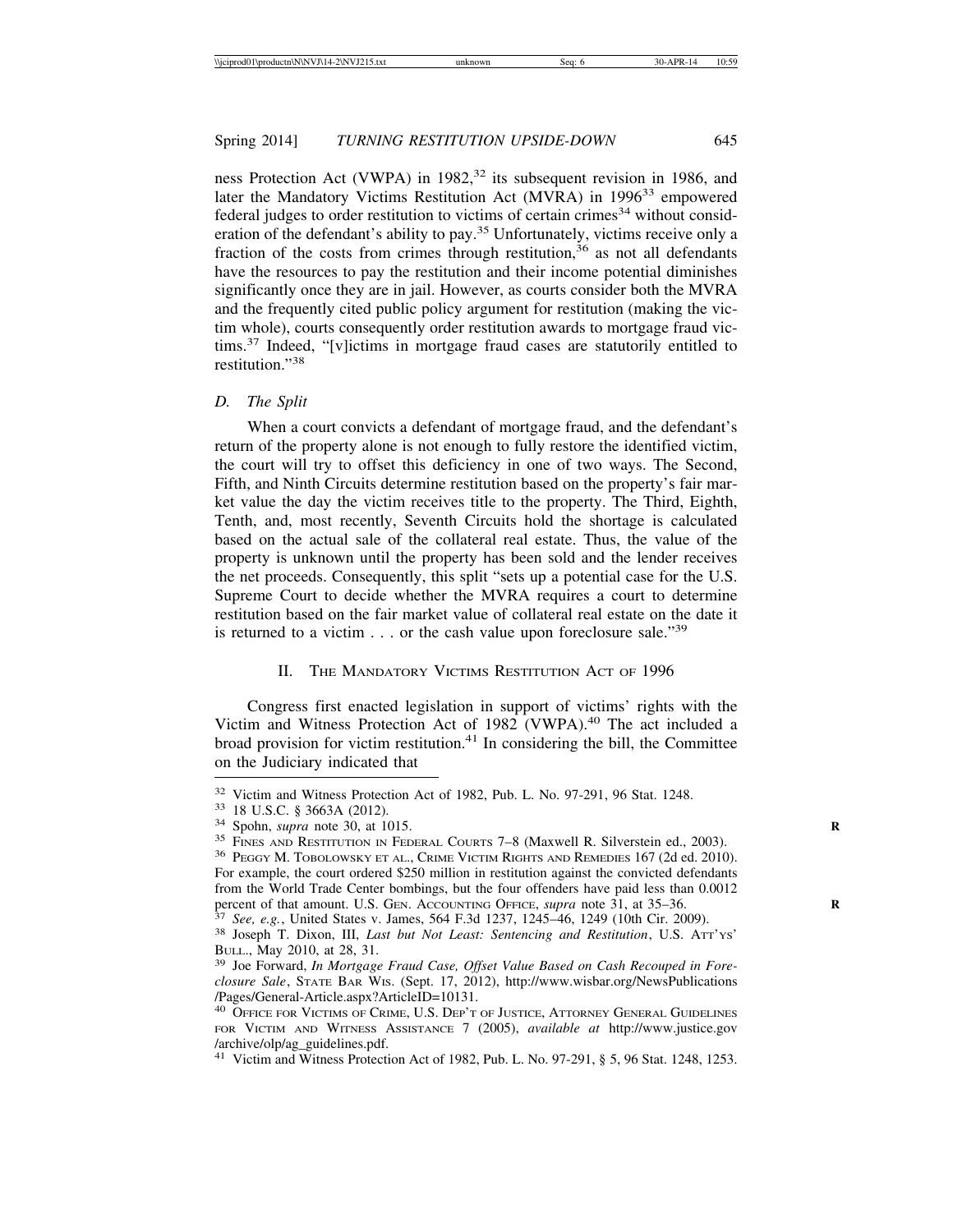ness Protection Act (VWPA) in  $1982$ <sup>32</sup> its subsequent revision in 1986, and later the Mandatory Victims Restitution Act (MVRA) in 1996<sup>33</sup> empowered  $f$ ederal judges to order restitution to victims of certain crimes<sup>34</sup> without consideration of the defendant's ability to pay.<sup>35</sup> Unfortunately, victims receive only a fraction of the costs from crimes through restitution,<sup>36</sup> as not all defendants have the resources to pay the restitution and their income potential diminishes significantly once they are in jail. However, as courts consider both the MVRA and the frequently cited public policy argument for restitution (making the victim whole), courts consequently order restitution awards to mortgage fraud vic $t$ tims.<sup>37</sup> Indeed, "[v]ictims in mortgage fraud cases are statutorily entitled to restitution<sup>"38</sup>

#### *D. The Split*

When a court convicts a defendant of mortgage fraud, and the defendant's return of the property alone is not enough to fully restore the identified victim, the court will try to offset this deficiency in one of two ways. The Second, Fifth, and Ninth Circuits determine restitution based on the property's fair market value the day the victim receives title to the property. The Third, Eighth, Tenth, and, most recently, Seventh Circuits hold the shortage is calculated based on the actual sale of the collateral real estate. Thus, the value of the property is unknown until the property has been sold and the lender receives the net proceeds. Consequently, this split "sets up a potential case for the U.S. Supreme Court to decide whether the MVRA requires a court to determine restitution based on the fair market value of collateral real estate on the date it is returned to a victim  $\ldots$  or the cash value upon foreclosure sale.<sup>39</sup>

## II. THE MANDATORY VICTIMS RESTITUTION ACT OF 1996

Congress first enacted legislation in support of victims' rights with the Victim and Witness Protection Act of 1982 (VWPA).<sup>40</sup> The act included a broad provision for victim restitution. $41$  In considering the bill, the Committee on the Judiciary indicated that

<sup>41</sup> Victim and Witness Protection Act of 1982, Pub. L. No. 97-291, § 5, 96 Stat. 1248, 1253.

<sup>&</sup>lt;sup>32</sup> Victim and Witness Protection Act of 1982, Pub. L. No. 97-291, 96 Stat. 1248.<br><sup>33</sup> 18 U.S.C. § 3663A (2012).<br><sup>34</sup> Spohn, *supra* note 30, at 1015.<br><sup>35</sup> FINES AND RESTITUTION IN FEDERAL COURTS 7–8 (Maxwell R. Silverst

For example, the court ordered \$250 million in restitution against the convicted defendants from the World Trade Center bombings, but the four offenders have paid less than 0.0012 percent of that amount. U.S. GEN. ACCOUNTING OFFICE, *supra* note 31, at 35–36.

 $37$  See, e.g., United States v. James, 564 F.3d 1237, 1245–46, 1249 (10th Cir. 2009).<br><sup>38</sup> Joseph T. Dixon, III, *Last but Not Least: Sentencing and Restitution*, U.S. ATT'Ys' BULL., May 2010, at 28, 31.

<sup>&</sup>lt;sup>39</sup> Joe Forward, *In Mortgage Fraud Case, Offset Value Based on Cash Recouped in Foreclosure Sale*, STATE BAR WIS. (Sept. 17, 2012), http://www.wisbar.org/NewsPublications /Pages/General-Article.aspx?ArticleID=10131.

<sup>&</sup>lt;sup>40</sup> OFFICE FOR VICTIMS OF CRIME, U.S. DEP'T OF JUSTICE, ATTORNEY GENERAL GUIDELINES FOR VICTIM AND WITNESS ASSISTANCE 7 (2005), *available at* http://www.justice.gov /archive/olp/ag\_guidelines.pdf.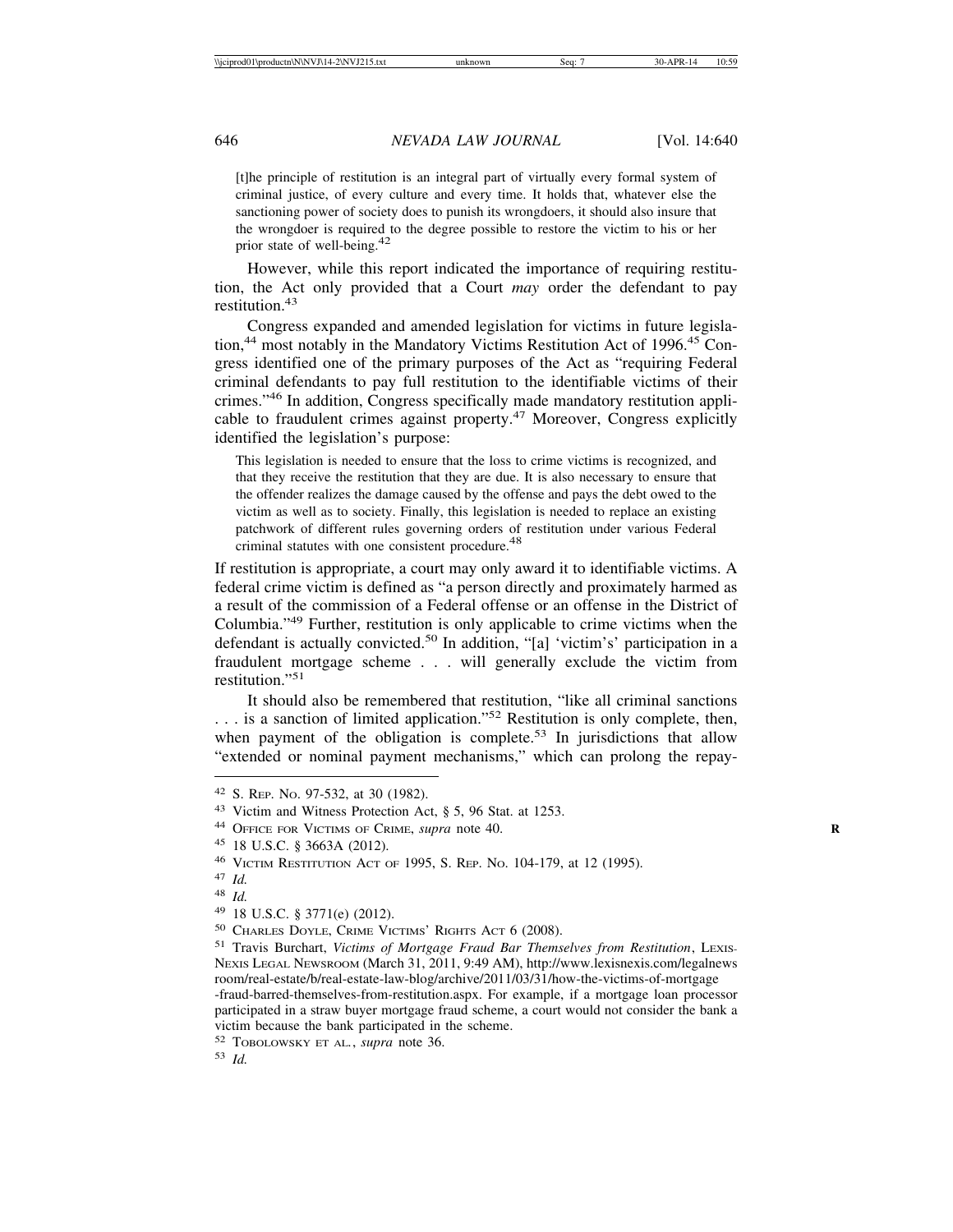[t]he principle of restitution is an integral part of virtually every formal system of criminal justice, of every culture and every time. It holds that, whatever else the sanctioning power of society does to punish its wrongdoers, it should also insure that the wrongdoer is required to the degree possible to restore the victim to his or her prior state of well-being.<sup>42</sup>

However, while this report indicated the importance of requiring restitution, the Act only provided that a Court *may* order the defendant to pay restitution.<sup>43</sup>

Congress expanded and amended legislation for victims in future legislation,<sup>44</sup> most notably in the Mandatory Victims Restitution Act of 1996.<sup>45</sup> Congress identified one of the primary purposes of the Act as "requiring Federal criminal defendants to pay full restitution to the identifiable victims of their crimes."46 In addition, Congress specifically made mandatory restitution applicable to fraudulent crimes against property.47 Moreover, Congress explicitly identified the legislation's purpose:

This legislation is needed to ensure that the loss to crime victims is recognized, and that they receive the restitution that they are due. It is also necessary to ensure that the offender realizes the damage caused by the offense and pays the debt owed to the victim as well as to society. Finally, this legislation is needed to replace an existing patchwork of different rules governing orders of restitution under various Federal criminal statutes with one consistent procedure.<sup>48</sup>

If restitution is appropriate, a court may only award it to identifiable victims. A federal crime victim is defined as "a person directly and proximately harmed as a result of the commission of a Federal offense or an offense in the District of Columbia."49 Further, restitution is only applicable to crime victims when the defendant is actually convicted.<sup>50</sup> In addition, "[a] 'victim's' participation in a fraudulent mortgage scheme . . . will generally exclude the victim from restitution."<sup>51</sup>

It should also be remembered that restitution, "like all criminal sanctions ... is a sanction of limited application."<sup>52</sup> Restitution is only complete, then, when payment of the obligation is complete.<sup>53</sup> In jurisdictions that allow "extended or nominal payment mechanisms," which can prolong the repay-

<sup>51</sup> Travis Burchart, *Victims of Mortgage Fraud Bar Themselves from Restitution*, LEXIS-NEXIS LEGAL NEWSROOM (March 31, 2011, 9:49 AM), http://www.lexisnexis.com/legalnews room/real-estate/b/real-estate-law-blog/archive/2011/03/31/how-the-victims-of-mortgage -fraud-barred-themselves-from-restitution.aspx. For example, if a mortgage loan processor participated in a straw buyer mortgage fraud scheme, a court would not consider the bank a victim because the bank participated in the scheme.

<sup>42</sup> S. REP. NO. 97-532, at 30 (1982).

<sup>43</sup> Victim and Witness Protection Act, § 5, 96 Stat. at 1253.

<sup>44</sup> OFFICE FOR VICTIMS OF CRIME, *supra* note 40. **R**

<sup>45</sup> 18 U.S.C. § 3663A (2012).

<sup>46</sup> VICTIM RESTITUTION ACT OF 1995, S. REP. NO. 104-179, at 12 (1995).

<sup>47</sup> *Id.*

<sup>48</sup> *Id.*

<sup>49</sup> 18 U.S.C. § 3771(e) (2012).

<sup>50</sup> CHARLES DOYLE, CRIME VICTIMS' RIGHTS ACT 6 (2008).

<sup>52</sup> TOBOLOWSKY ET AL*.*, *supra* note 36.

<sup>53</sup> *Id.*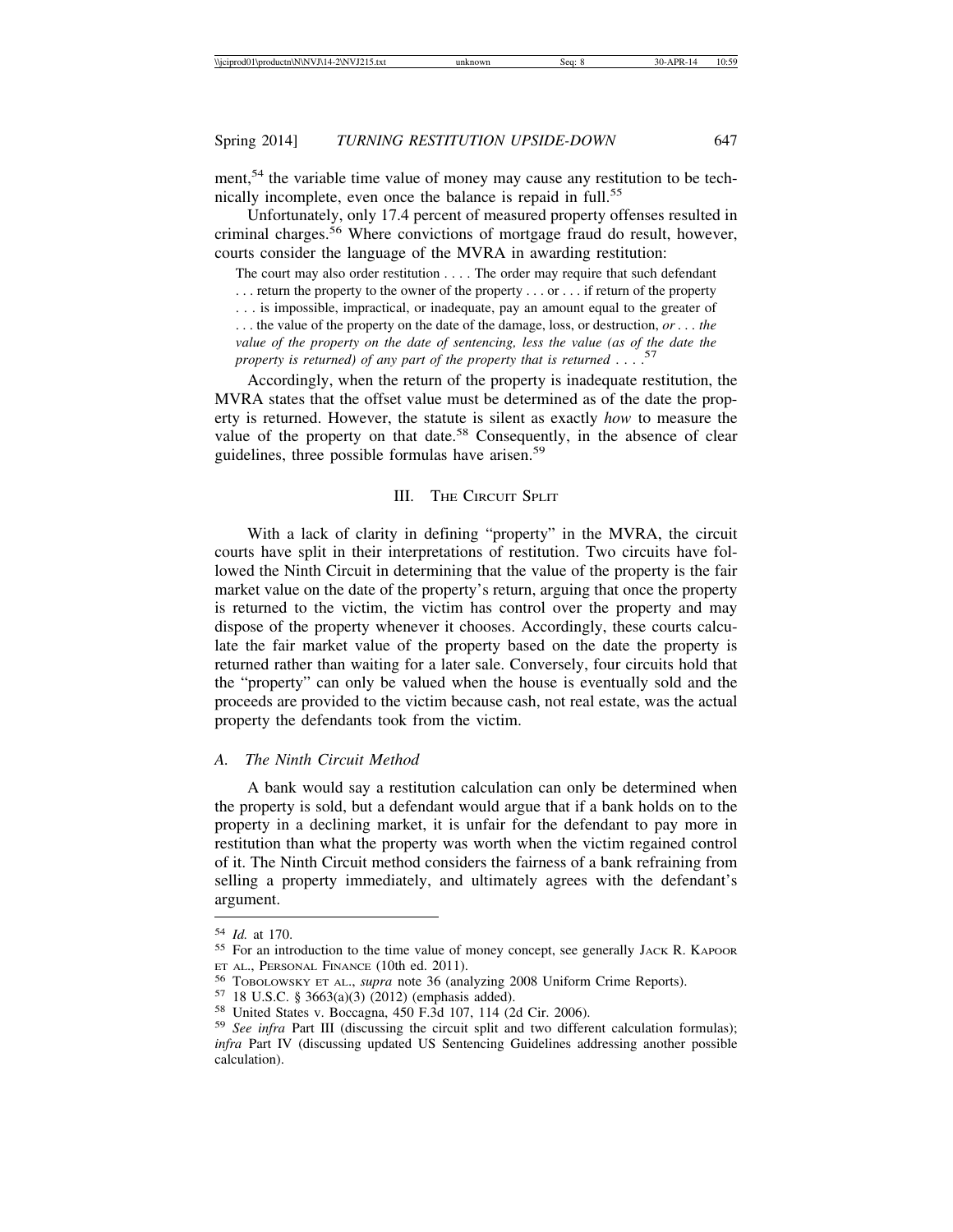ment,<sup>54</sup> the variable time value of money may cause any restitution to be technically incomplete, even once the balance is repaid in full.<sup>55</sup>

Unfortunately, only 17.4 percent of measured property offenses resulted in criminal charges.<sup>56</sup> Where convictions of mortgage fraud do result, however, courts consider the language of the MVRA in awarding restitution:

The court may also order restitution . . . . The order may require that such defendant . . . return the property to the owner of the property . . . or . . . if return of the property . . . is impossible, impractical, or inadequate, pay an amount equal to the greater of . . . the value of the property on the date of the damage, loss, or destruction, *or . . . the value of the property on the date of sentencing, less the value (as of the date the property is returned) of any part of the property that is returned* . . . .57

Accordingly, when the return of the property is inadequate restitution, the MVRA states that the offset value must be determined as of the date the property is returned. However, the statute is silent as exactly *how* to measure the value of the property on that date.<sup>58</sup> Consequently, in the absence of clear guidelines, three possible formulas have arisen.<sup>59</sup>

#### III. THE CIRCUIT SPLIT

With a lack of clarity in defining "property" in the MVRA, the circuit courts have split in their interpretations of restitution. Two circuits have followed the Ninth Circuit in determining that the value of the property is the fair market value on the date of the property's return, arguing that once the property is returned to the victim, the victim has control over the property and may dispose of the property whenever it chooses. Accordingly, these courts calculate the fair market value of the property based on the date the property is returned rather than waiting for a later sale. Conversely, four circuits hold that the "property" can only be valued when the house is eventually sold and the proceeds are provided to the victim because cash, not real estate, was the actual property the defendants took from the victim.

#### *A. The Ninth Circuit Method*

A bank would say a restitution calculation can only be determined when the property is sold, but a defendant would argue that if a bank holds on to the property in a declining market, it is unfair for the defendant to pay more in restitution than what the property was worth when the victim regained control of it. The Ninth Circuit method considers the fairness of a bank refraining from selling a property immediately, and ultimately agrees with the defendant's argument.

<sup>&</sup>lt;sup>54</sup> *Id.* at 170.<br><sup>55</sup> For an introduction to the time value of money concept, see generally JACK R. KAPOOR ET AL., PERSONAL FINANCE (10th ed. 2011).<br><sup>56</sup> TOBOLOWSKY ET AL., *supra* note 36 (analyzing 2008 Uniform Crime Reports).<br><sup>57</sup> 18 U.S.C. § 3663(a)(3) (2012) (emphasis added).<br><sup>58</sup> United States v. Boccagna, 450 F.3d 107, 1

*infra* Part IV (discussing updated US Sentencing Guidelines addressing another possible calculation).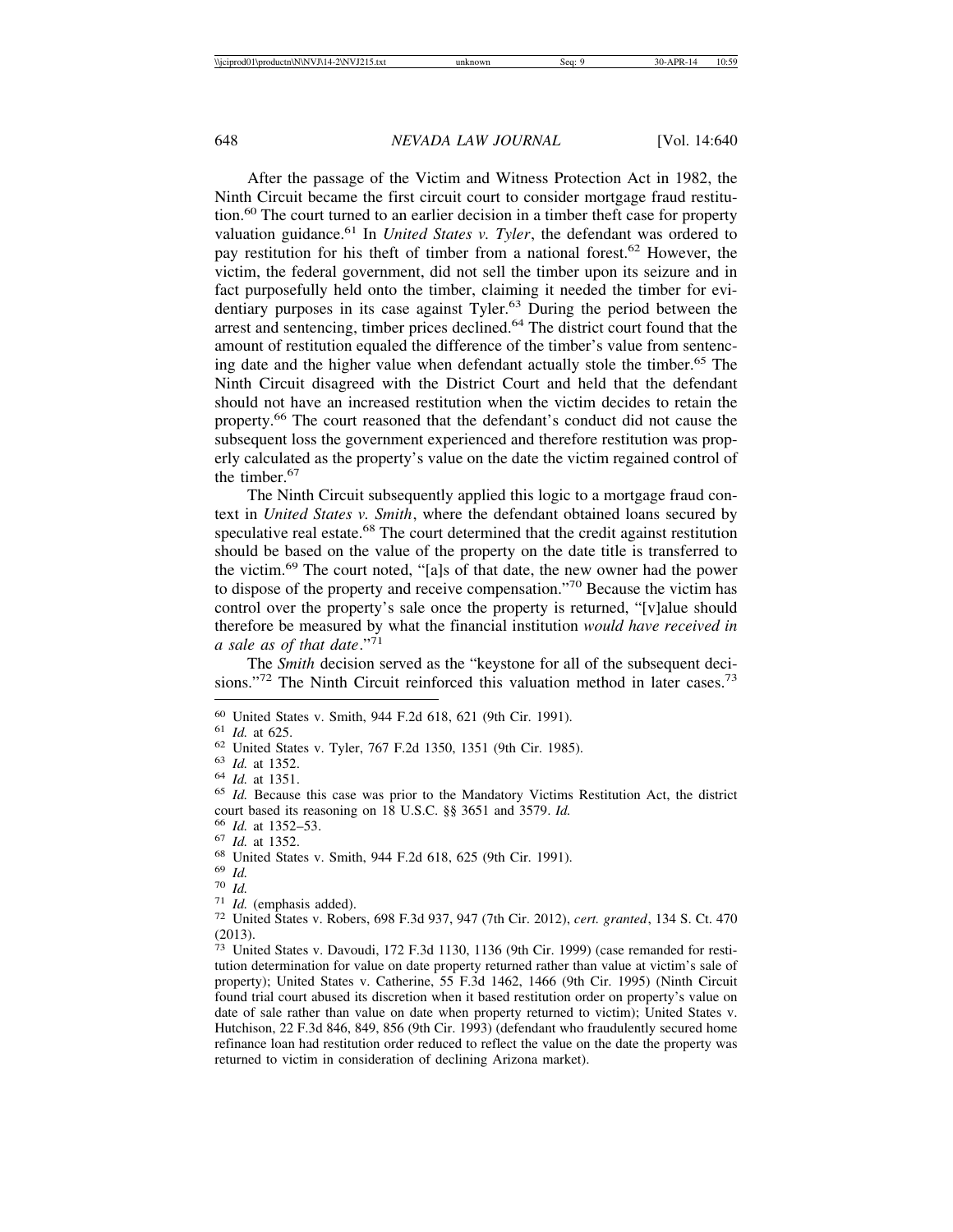After the passage of the Victim and Witness Protection Act in 1982, the Ninth Circuit became the first circuit court to consider mortgage fraud restitution.<sup>60</sup> The court turned to an earlier decision in a timber theft case for property valuation guidance.<sup>61</sup> In *United States v. Tyler*, the defendant was ordered to pay restitution for his theft of timber from a national forest.62 However, the victim, the federal government, did not sell the timber upon its seizure and in fact purposefully held onto the timber, claiming it needed the timber for evidentiary purposes in its case against Tyler.<sup>63</sup> During the period between the arrest and sentencing, timber prices declined.<sup>64</sup> The district court found that the amount of restitution equaled the difference of the timber's value from sentencing date and the higher value when defendant actually stole the timber.<sup>65</sup> The Ninth Circuit disagreed with the District Court and held that the defendant should not have an increased restitution when the victim decides to retain the property.66 The court reasoned that the defendant's conduct did not cause the subsequent loss the government experienced and therefore restitution was properly calculated as the property's value on the date the victim regained control of the timber.<sup>67</sup>

The Ninth Circuit subsequently applied this logic to a mortgage fraud context in *United States v. Smith*, where the defendant obtained loans secured by speculative real estate.<sup>68</sup> The court determined that the credit against restitution should be based on the value of the property on the date title is transferred to the victim.69 The court noted, "[a]s of that date, the new owner had the power to dispose of the property and receive compensation."70 Because the victim has control over the property's sale once the property is returned, "[v]alue should therefore be measured by what the financial institution *would have received in a sale as of that date*."71

The *Smith* decision served as the "keystone for all of the subsequent decisions."<sup>72</sup> The Ninth Circuit reinforced this valuation method in later cases.<sup>73</sup>

<sup>&</sup>lt;sup>60</sup> United States v. Smith, 944 F.2d 618, 621 (9th Cir. 1991).<br>
<sup>61</sup> *Id.* at 625.<br>
<sup>62</sup> United States v. Tyler, 767 F.2d 1350, 1351 (9th Cir. 1985).<br>
<sup>63</sup> *Id.* at 1352.<br>
<sup>64</sup> *Id.* at 1351.<br>
<sup>65</sup> *Id.* Because this cas

<sup>&</sup>lt;sup>66</sup> *Id.* at 1352–53.<br>
<sup>67</sup> *Id.* at 1352.<br>
<sup>68</sup> United States v. Smith, 944 F.2d 618, 625 (9th Cir. 1991).<br>
<sup>69</sup> *Id.*<br>
<sup>70</sup> *Id.* (emphasis added).<br>
<sup>71</sup> *Id.* (emphasis added).<br>
<sup>72</sup> United States v. Robers, 698 F.3d 9 (2013).

<sup>73</sup> United States v. Davoudi, 172 F.3d 1130, 1136 (9th Cir. 1999) (case remanded for restitution determination for value on date property returned rather than value at victim's sale of property); United States v. Catherine, 55 F.3d 1462, 1466 (9th Cir. 1995) (Ninth Circuit found trial court abused its discretion when it based restitution order on property's value on date of sale rather than value on date when property returned to victim); United States v. Hutchison, 22 F.3d 846, 849, 856 (9th Cir. 1993) (defendant who fraudulently secured home refinance loan had restitution order reduced to reflect the value on the date the property was returned to victim in consideration of declining Arizona market).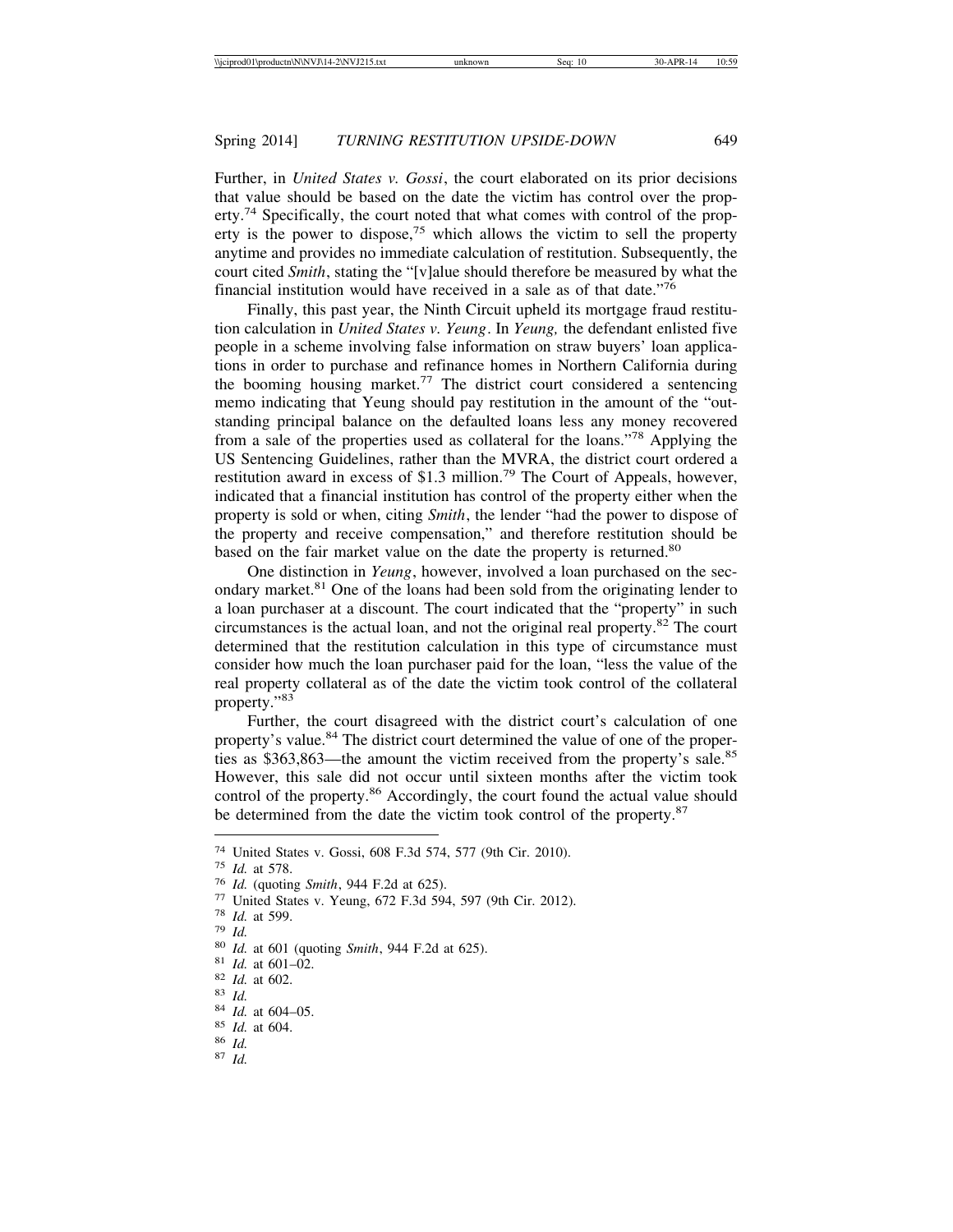Further, in *United States v. Gossi*, the court elaborated on its prior decisions that value should be based on the date the victim has control over the property.<sup>74</sup> Specifically, the court noted that what comes with control of the property is the power to dispose,<sup>75</sup> which allows the victim to sell the property anytime and provides no immediate calculation of restitution. Subsequently, the court cited *Smith*, stating the "[v]alue should therefore be measured by what the financial institution would have received in a sale as of that date."<sup>76</sup>

Finally, this past year, the Ninth Circuit upheld its mortgage fraud restitution calculation in *United States v. Yeung*. In *Yeung,* the defendant enlisted five people in a scheme involving false information on straw buyers' loan applications in order to purchase and refinance homes in Northern California during the booming housing market.<sup>77</sup> The district court considered a sentencing memo indicating that Yeung should pay restitution in the amount of the "outstanding principal balance on the defaulted loans less any money recovered from a sale of the properties used as collateral for the loans."78 Applying the US Sentencing Guidelines, rather than the MVRA, the district court ordered a restitution award in excess of \$1.3 million.<sup>79</sup> The Court of Appeals, however, indicated that a financial institution has control of the property either when the property is sold or when, citing *Smith*, the lender "had the power to dispose of the property and receive compensation," and therefore restitution should be based on the fair market value on the date the property is returned.<sup>80</sup>

One distinction in *Yeung*, however, involved a loan purchased on the secondary market.<sup>81</sup> One of the loans had been sold from the originating lender to a loan purchaser at a discount. The court indicated that the "property" in such circumstances is the actual loan, and not the original real property.<sup>82</sup> The court determined that the restitution calculation in this type of circumstance must consider how much the loan purchaser paid for the loan, "less the value of the real property collateral as of the date the victim took control of the collateral property."83

Further, the court disagreed with the district court's calculation of one property's value.<sup>84</sup> The district court determined the value of one of the properties as \$363,863—the amount the victim received from the property's sale.<sup>85</sup> However, this sale did not occur until sixteen months after the victim took control of the property.<sup>86</sup> Accordingly, the court found the actual value should be determined from the date the victim took control of the property.<sup>87</sup>

<sup>&</sup>lt;sup>74</sup> United States v. Gossi, 608 F.3d 574, 577 (9th Cir. 2010).<br>
<sup>75</sup> Id. at 578.<br>
<sup>76</sup> Id. (quoting *Smith*, 944 F.2d at 625).<br>
<sup>77</sup> United States v. Yeung, 672 F.3d 594, 597 (9th Cir. 2012).<br>
<sup>78</sup> Id. at 599.<br>
<sup>79</sup> Id.<br>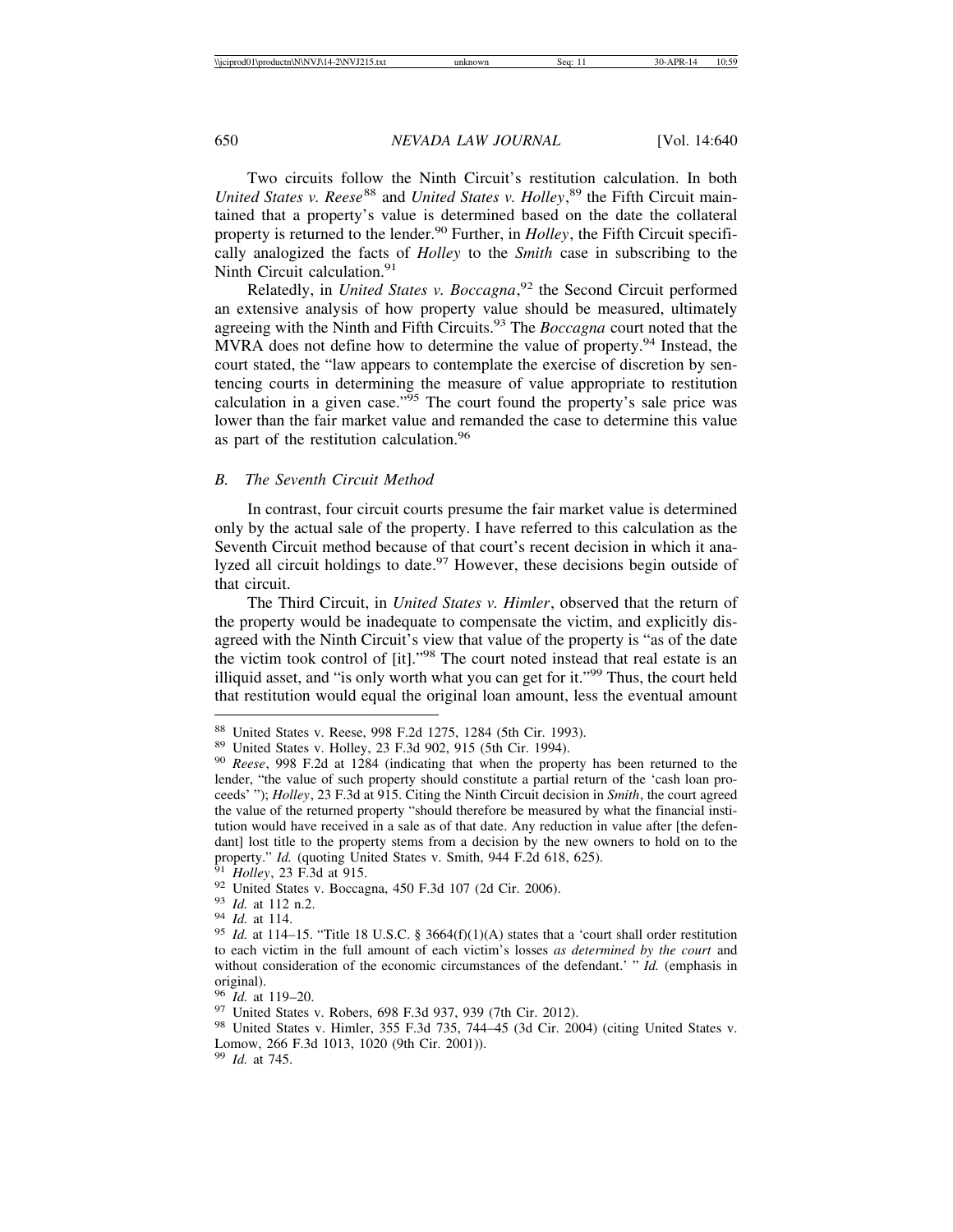Two circuits follow the Ninth Circuit's restitution calculation. In both United States v. Reese<sup>88</sup> and *United States v. Holley*, <sup>89</sup> the Fifth Circuit maintained that a property's value is determined based on the date the collateral property is returned to the lender.<sup>90</sup> Further, in *Holley*, the Fifth Circuit specifically analogized the facts of *Holley* to the *Smith* case in subscribing to the Ninth Circuit calculation.<sup>91</sup>

Relatedly, in *United States v. Boccagna*, 92 the Second Circuit performed an extensive analysis of how property value should be measured, ultimately agreeing with the Ninth and Fifth Circuits.93 The *Boccagna* court noted that the MVRA does not define how to determine the value of property.<sup>94</sup> Instead, the court stated, the "law appears to contemplate the exercise of discretion by sentencing courts in determining the measure of value appropriate to restitution calculation in a given case." $\frac{95}{5}$  The court found the property's sale price was lower than the fair market value and remanded the case to determine this value as part of the restitution calculation.<sup>96</sup>

#### *B. The Seventh Circuit Method*

In contrast, four circuit courts presume the fair market value is determined only by the actual sale of the property. I have referred to this calculation as the Seventh Circuit method because of that court's recent decision in which it analyzed all circuit holdings to date.<sup>97</sup> However, these decisions begin outside of that circuit.

The Third Circuit, in *United States v. Himler*, observed that the return of the property would be inadequate to compensate the victim, and explicitly disagreed with the Ninth Circuit's view that value of the property is "as of the date the victim took control of [it]."98 The court noted instead that real estate is an illiquid asset, and "is only worth what you can get for it."99 Thus, the court held that restitution would equal the original loan amount, less the eventual amount

<sup>88</sup> United States v. Reese, 998 F.2d 1275, 1284 (5th Cir. 1993). <sup>89</sup> United States v. Holley, 23 F.3d 902, 915 (5th Cir. 1994). <sup>90</sup> *Reese*, 998 F.2d at 1284 (indicating that when the property has been returned to the lender, "the value of such property should constitute a partial return of the 'cash loan proceeds' "); *Holley*, 23 F.3d at 915. Citing the Ninth Circuit decision in *Smith*, the court agreed the value of the returned property "should therefore be measured by what the financial institution would have received in a sale as of that date. Any reduction in value after [the defendant] lost title to the property stems from a decision by the new owners to hold on to the property." *Id.* (quoting United States v. Smith, 944 F.2d 618, 625).<br><sup>91</sup> *Holley*, 23 F.3d at 915.<br><sup>92</sup> United States v. Boccagna, 450 F.3d 107 (2d Cir. 2006).<br><sup>93</sup> *Id.* at 112 n.2.<br><sup>94</sup> *Id.* at 114.<br><sup>95</sup> *Id.* at 114

to each victim in the full amount of each victim's losses *as determined by the court* and without consideration of the economic circumstances of the defendant.' " *Id.* (emphasis in original).<br><sup>96</sup> *Id.* at 119–20.

<sup>&</sup>lt;sup>97</sup> United States v. Robers, 698 F.3d 937, 939 (7th Cir. 2012).<br><sup>98</sup> United States v. Himler, 355 F.3d 735, 744–45 (3d Cir. 2004) (citing United States v. Lomow, 266 F.3d 1013, 1020 (9th Cir. 2001)).

<sup>99</sup> *Id.* at 745.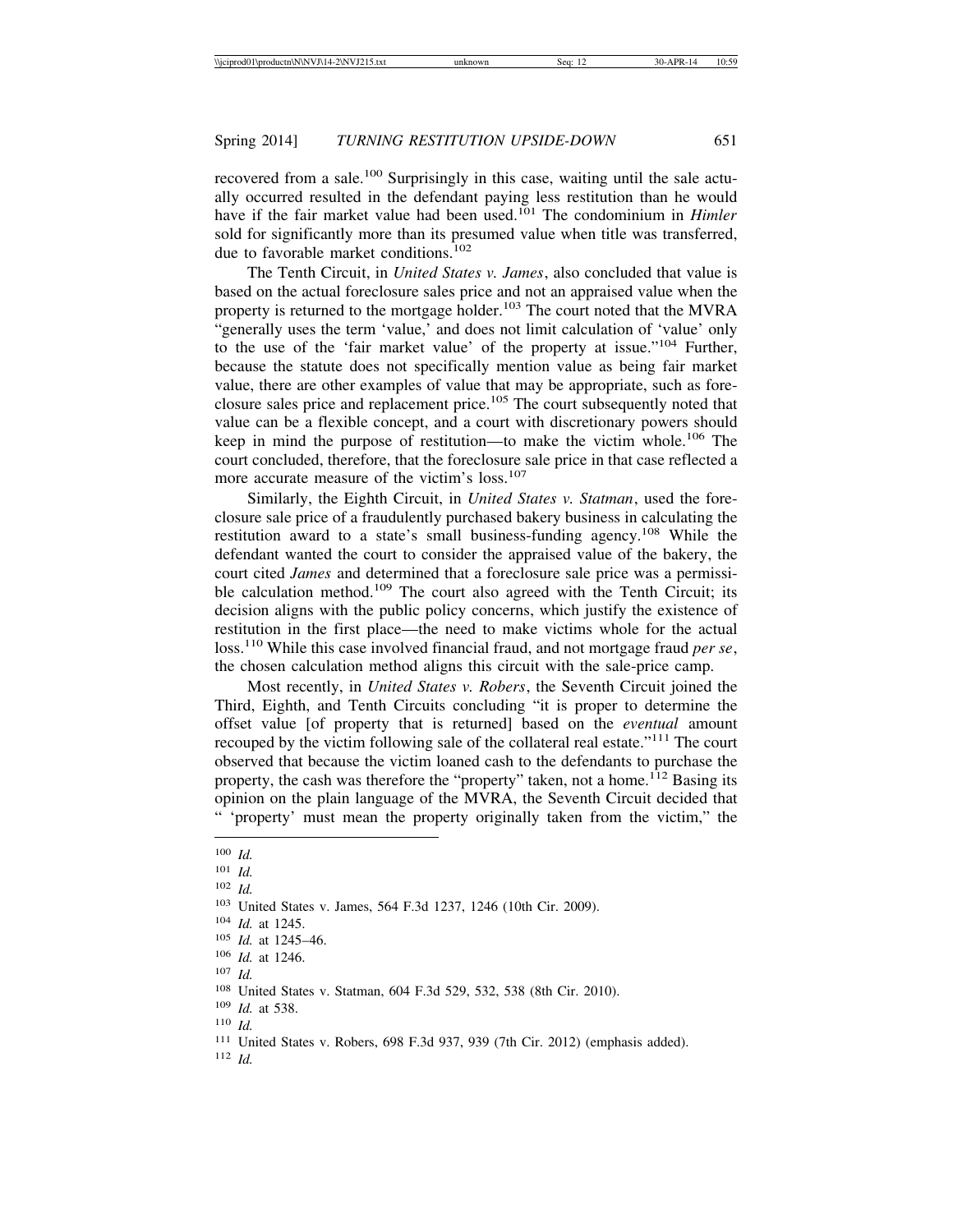recovered from a sale.<sup>100</sup> Surprisingly in this case, waiting until the sale actually occurred resulted in the defendant paying less restitution than he would have if the fair market value had been used.101 The condominium in *Himler* sold for significantly more than its presumed value when title was transferred, due to favorable market conditions.<sup>102</sup>

The Tenth Circuit, in *United States v. James*, also concluded that value is based on the actual foreclosure sales price and not an appraised value when the property is returned to the mortgage holder.<sup>103</sup> The court noted that the MVRA "generally uses the term 'value,' and does not limit calculation of 'value' only to the use of the 'fair market value' of the property at issue."104 Further, because the statute does not specifically mention value as being fair market value, there are other examples of value that may be appropriate, such as foreclosure sales price and replacement price.<sup>105</sup> The court subsequently noted that value can be a flexible concept, and a court with discretionary powers should keep in mind the purpose of restitution—to make the victim whole.<sup>106</sup> The court concluded, therefore, that the foreclosure sale price in that case reflected a more accurate measure of the victim's loss.<sup>107</sup>

Similarly, the Eighth Circuit, in *United States v. Statman*, used the foreclosure sale price of a fraudulently purchased bakery business in calculating the restitution award to a state's small business-funding agency.<sup>108</sup> While the defendant wanted the court to consider the appraised value of the bakery, the court cited *James* and determined that a foreclosure sale price was a permissible calculation method.<sup>109</sup> The court also agreed with the Tenth Circuit; its decision aligns with the public policy concerns, which justify the existence of restitution in the first place—the need to make victims whole for the actual loss.110 While this case involved financial fraud, and not mortgage fraud *per se*, the chosen calculation method aligns this circuit with the sale-price camp.

Most recently, in *United States v. Robers*, the Seventh Circuit joined the Third, Eighth, and Tenth Circuits concluding "it is proper to determine the offset value [of property that is returned] based on the *eventual* amount recouped by the victim following sale of the collateral real estate."111 The court observed that because the victim loaned cash to the defendants to purchase the property, the cash was therefore the "property" taken, not a home.<sup>112</sup> Basing its opinion on the plain language of the MVRA, the Seventh Circuit decided that " 'property' must mean the property originally taken from the victim," the

<sup>107</sup> *Id.*

<sup>112</sup> *Id.*

<sup>100</sup> *Id.*

<sup>101</sup> *Id.*

<sup>102</sup> *Id.*

<sup>103</sup> United States v. James, 564 F.3d 1237, 1246 (10th Cir. 2009).

<sup>104</sup> *Id.* at 1245.

<sup>105</sup> *Id.* at 1245–46.

<sup>106</sup> *Id.* at 1246.

<sup>108</sup> United States v. Statman, 604 F.3d 529, 532, 538 (8th Cir. 2010).

<sup>109</sup> *Id.* at 538.

<sup>110</sup> *Id.*

<sup>111</sup> United States v. Robers, 698 F.3d 937, 939 (7th Cir. 2012) (emphasis added).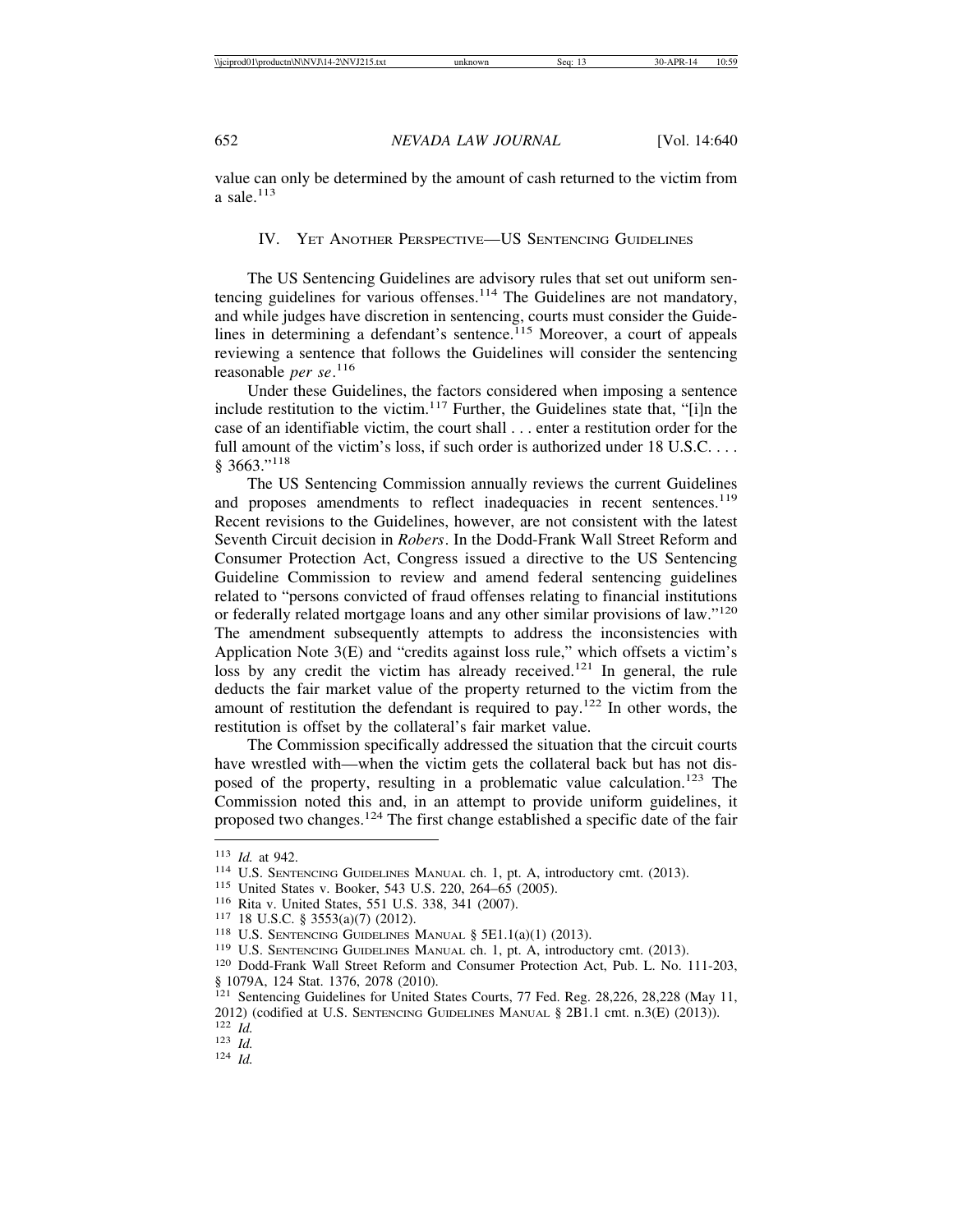value can only be determined by the amount of cash returned to the victim from a sale. $113$ 

## IV. YET ANOTHER PERSPECTIVE—US SENTENCING GUIDELINES

The US Sentencing Guidelines are advisory rules that set out uniform sentencing guidelines for various offenses.<sup>114</sup> The Guidelines are not mandatory, and while judges have discretion in sentencing, courts must consider the Guidelines in determining a defendant's sentence.<sup> $115$ </sup> Moreover, a court of appeals reviewing a sentence that follows the Guidelines will consider the sentencing reasonable *per se*. 116

Under these Guidelines, the factors considered when imposing a sentence include restitution to the victim. $117$  Further, the Guidelines state that, "[i]n the case of an identifiable victim, the court shall . . . enter a restitution order for the full amount of the victim's loss, if such order is authorized under 18 U.S.C. . . . § 3663."118

The US Sentencing Commission annually reviews the current Guidelines and proposes amendments to reflect inadequacies in recent sentences.<sup>119</sup> Recent revisions to the Guidelines, however, are not consistent with the latest Seventh Circuit decision in *Robers*. In the Dodd-Frank Wall Street Reform and Consumer Protection Act, Congress issued a directive to the US Sentencing Guideline Commission to review and amend federal sentencing guidelines related to "persons convicted of fraud offenses relating to financial institutions or federally related mortgage loans and any other similar provisions of law."<sup>120</sup> The amendment subsequently attempts to address the inconsistencies with Application Note 3(E) and "credits against loss rule," which offsets a victim's loss by any credit the victim has already received.<sup>121</sup> In general, the rule deducts the fair market value of the property returned to the victim from the amount of restitution the defendant is required to pay.<sup>122</sup> In other words, the restitution is offset by the collateral's fair market value.

The Commission specifically addressed the situation that the circuit courts have wrestled with—when the victim gets the collateral back but has not disposed of the property, resulting in a problematic value calculation.<sup>123</sup> The Commission noted this and, in an attempt to provide uniform guidelines, it proposed two changes.<sup>124</sup> The first change established a specific date of the fair

<sup>&</sup>lt;sup>113</sup> *Id.* at 942.<br>
<sup>114</sup> U.S. SENTENCING GUIDELINES MANUAL ch. 1, pt. A, introductory cmt. (2013).<br>
<sup>115</sup> United States v. Booker, 543 U.S. 220, 264–65 (2005).<br>
<sup>116</sup> Rita v. United States, 551 U.S. 338, 341 (2007).<br>
<sup>1</sup> § 1079A, 124 Stat. 1376, 2078 (2010).

<sup>&</sup>lt;sup>121</sup> Sentencing Guidelines for United States Courts, 77 Fed. Reg. 28,226, 28,228 (May 11, 2012) (codified at U.S. SENTENCING GUIDELINES MANUAL § 2B1.1 cmt. n.3(E) (2013)). <sup>122</sup> *Id.* <sup>123</sup> *Id.* <sup>124</sup> *Id.*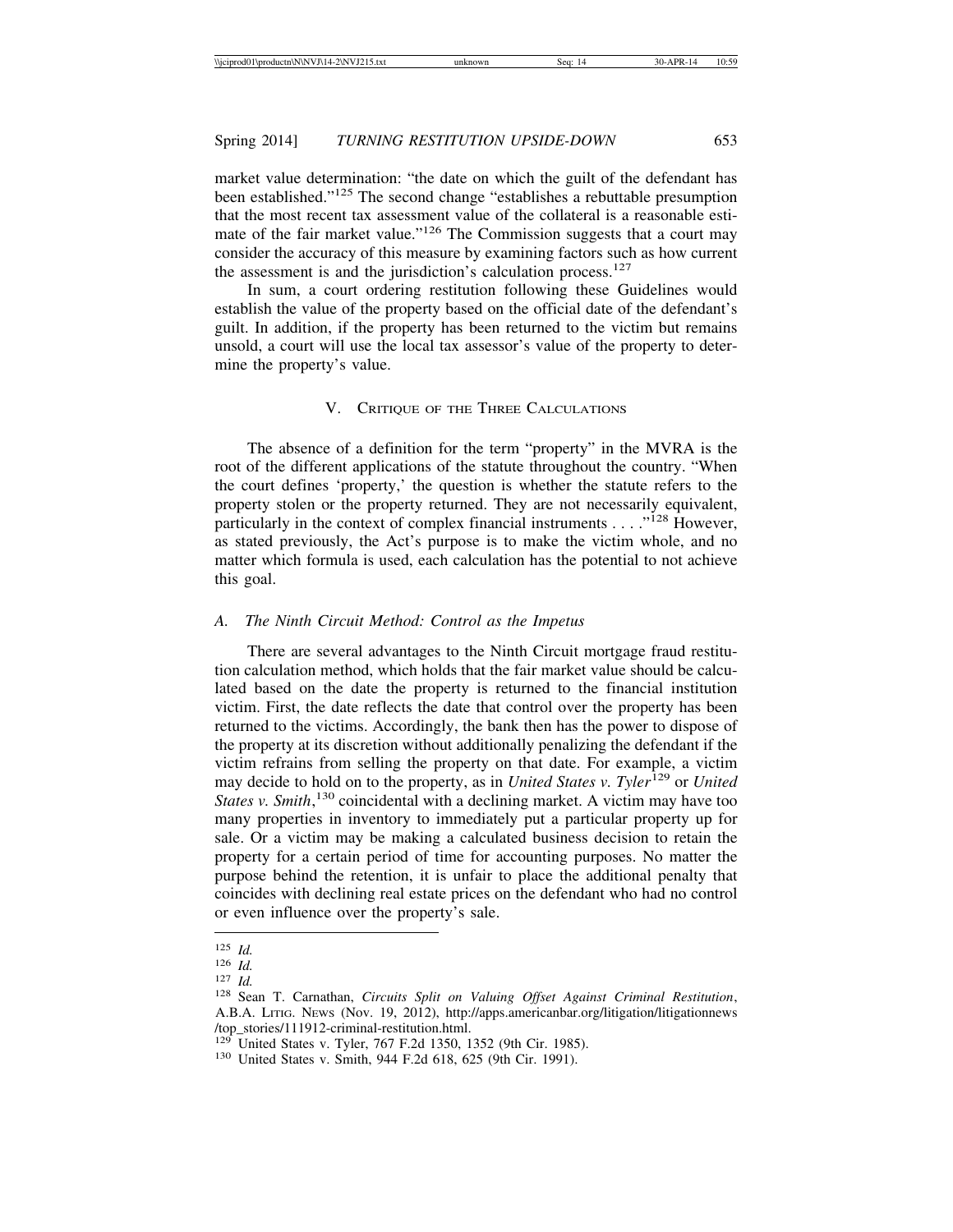market value determination: "the date on which the guilt of the defendant has been established."125 The second change "establishes a rebuttable presumption that the most recent tax assessment value of the collateral is a reasonable estimate of the fair market value."<sup>126</sup> The Commission suggests that a court may consider the accuracy of this measure by examining factors such as how current the assessment is and the jurisdiction's calculation process.<sup>127</sup>

In sum, a court ordering restitution following these Guidelines would establish the value of the property based on the official date of the defendant's guilt. In addition, if the property has been returned to the victim but remains unsold, a court will use the local tax assessor's value of the property to determine the property's value.

#### V. CRITIQUE OF THE THREE CALCULATIONS

The absence of a definition for the term "property" in the MVRA is the root of the different applications of the statute throughout the country. "When the court defines 'property,' the question is whether the statute refers to the property stolen or the property returned. They are not necessarily equivalent, particularly in the context of complex financial instruments . . . . .<sup>128</sup> However, as stated previously, the Act's purpose is to make the victim whole, and no matter which formula is used, each calculation has the potential to not achieve this goal.

#### *A. The Ninth Circuit Method: Control as the Impetus*

There are several advantages to the Ninth Circuit mortgage fraud restitution calculation method, which holds that the fair market value should be calculated based on the date the property is returned to the financial institution victim. First, the date reflects the date that control over the property has been returned to the victims. Accordingly, the bank then has the power to dispose of the property at its discretion without additionally penalizing the defendant if the victim refrains from selling the property on that date. For example, a victim may decide to hold on to the property, as in *United States v. Tyler*129 or *United States v. Smith*, 130 coincidental with a declining market. A victim may have too many properties in inventory to immediately put a particular property up for sale. Or a victim may be making a calculated business decision to retain the property for a certain period of time for accounting purposes. No matter the purpose behind the retention, it is unfair to place the additional penalty that coincides with declining real estate prices on the defendant who had no control or even influence over the property's sale.

<sup>125</sup> *Id.* <sup>126</sup> *Id.* <sup>127</sup> *Id.* <sup>128</sup> Sean T. Carnathan, *Circuits Split on Valuing Offset Against Criminal Restitution*, A.B.A. LITIG. NEWS (Nov. 19, 2012), http://apps.americanbar.org/litigation/litigationnews /top\_stories/111912-criminal-restitution.html.<br><sup>129</sup> United States v. Tyler, 767 F.2d 1350, 1352 (9th Cir. 1985).

<sup>&</sup>lt;sup>130</sup> United States v. Smith, 944 F.2d 618, 625 (9th Cir. 1991).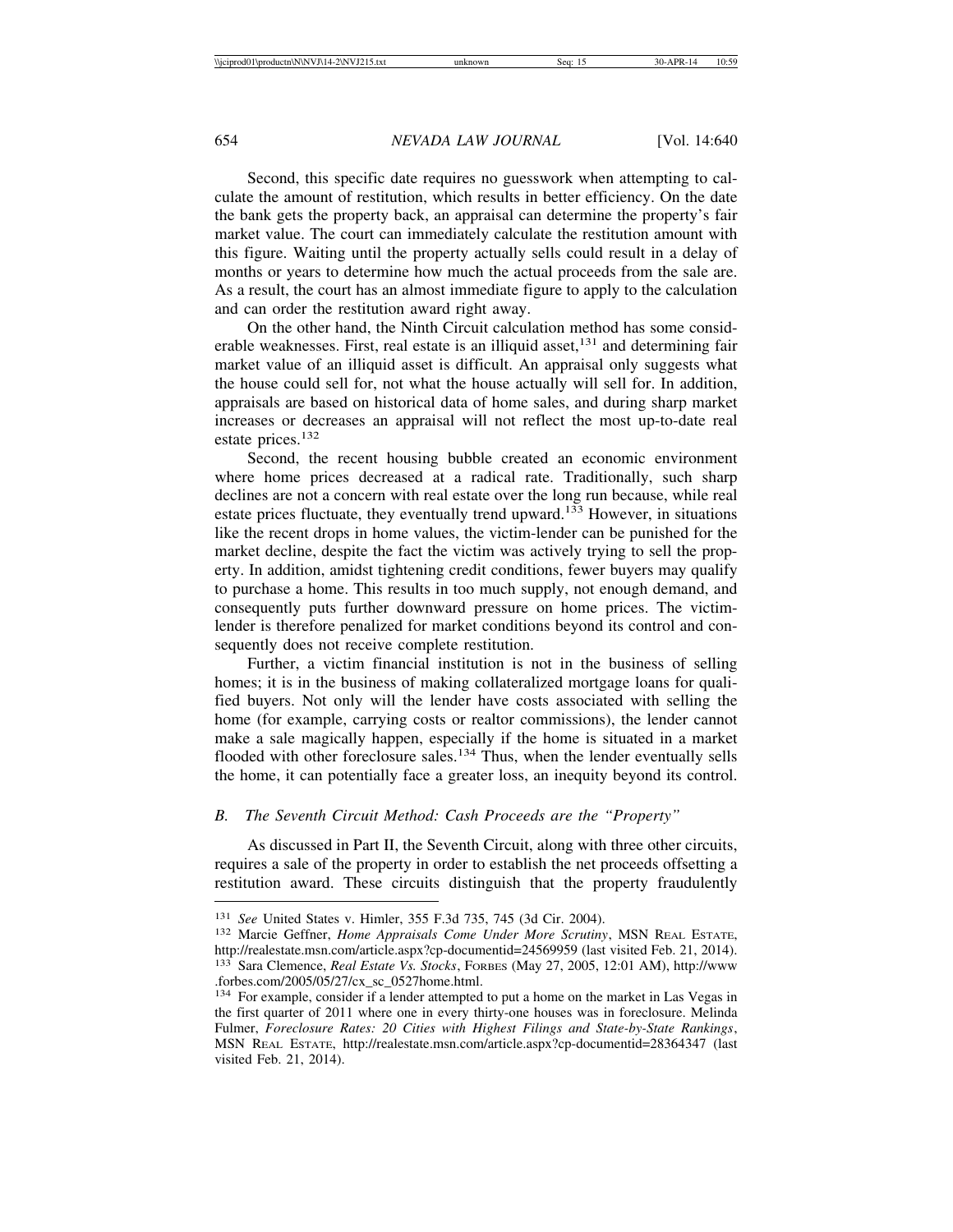Second, this specific date requires no guesswork when attempting to calculate the amount of restitution, which results in better efficiency. On the date the bank gets the property back, an appraisal can determine the property's fair market value. The court can immediately calculate the restitution amount with this figure. Waiting until the property actually sells could result in a delay of months or years to determine how much the actual proceeds from the sale are. As a result, the court has an almost immediate figure to apply to the calculation and can order the restitution award right away.

On the other hand, the Ninth Circuit calculation method has some considerable weaknesses. First, real estate is an illiquid asset,  $131$  and determining fair market value of an illiquid asset is difficult. An appraisal only suggests what the house could sell for, not what the house actually will sell for. In addition, appraisals are based on historical data of home sales, and during sharp market increases or decreases an appraisal will not reflect the most up-to-date real estate prices.<sup>132</sup>

Second, the recent housing bubble created an economic environment where home prices decreased at a radical rate. Traditionally, such sharp declines are not a concern with real estate over the long run because, while real estate prices fluctuate, they eventually trend upward.<sup>133</sup> However, in situations like the recent drops in home values, the victim-lender can be punished for the market decline, despite the fact the victim was actively trying to sell the property. In addition, amidst tightening credit conditions, fewer buyers may qualify to purchase a home. This results in too much supply, not enough demand, and consequently puts further downward pressure on home prices. The victimlender is therefore penalized for market conditions beyond its control and consequently does not receive complete restitution.

Further, a victim financial institution is not in the business of selling homes; it is in the business of making collateralized mortgage loans for qualified buyers. Not only will the lender have costs associated with selling the home (for example, carrying costs or realtor commissions), the lender cannot make a sale magically happen, especially if the home is situated in a market flooded with other foreclosure sales. $134$  Thus, when the lender eventually sells the home, it can potentially face a greater loss, an inequity beyond its control.

#### *B. The Seventh Circuit Method: Cash Proceeds are the "Property"*

As discussed in Part II, the Seventh Circuit, along with three other circuits, requires a sale of the property in order to establish the net proceeds offsetting a restitution award. These circuits distinguish that the property fraudulently

<sup>131</sup> *See* United States v. Himler, 355 F.3d 735, 745 (3d Cir. 2004). <sup>132</sup> Marcie Geffner, *Home Appraisals Come Under More Scrutiny*, MSN REAL ESTATE, http://realestate.msn.com/article.aspx?cp-documentid=24569959 (last visited Feb. 21, 2014). <sup>133</sup> Sara Clemence, *Real Estate Vs. Stocks*, FORBES (May 27, 2005, 12:01 AM), http://www .forbes.com/2005/05/27/cx\_sc\_0527home.html.

<sup>134</sup> For example, consider if a lender attempted to put a home on the market in Las Vegas in the first quarter of 2011 where one in every thirty-one houses was in foreclosure. Melinda Fulmer, *Foreclosure Rates: 20 Cities with Highest Filings and State-by-State Rankings*, MSN REAL ESTATE, http://realestate.msn.com/article.aspx?cp-documentid=28364347 (last visited Feb. 21, 2014).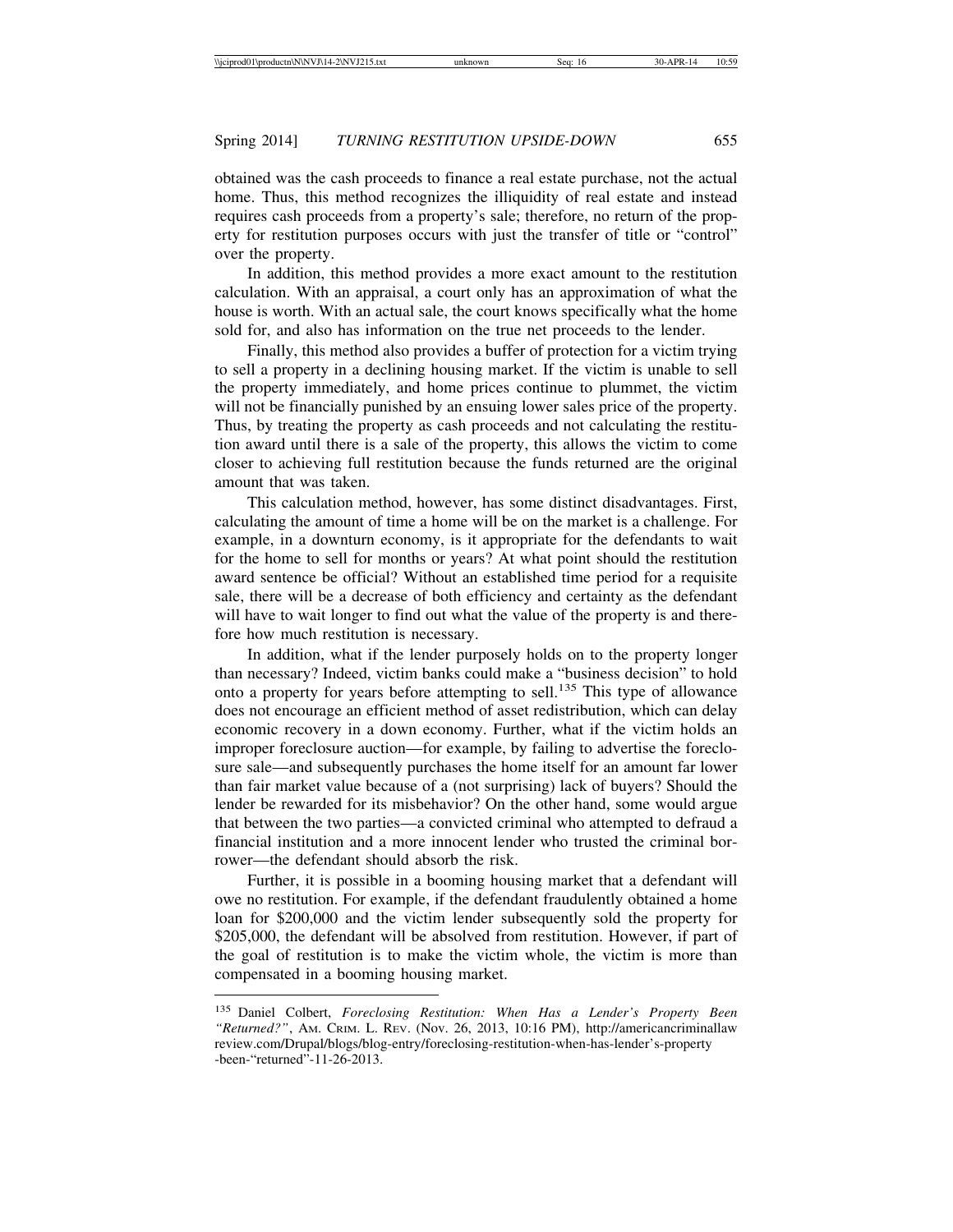obtained was the cash proceeds to finance a real estate purchase, not the actual home. Thus, this method recognizes the illiquidity of real estate and instead requires cash proceeds from a property's sale; therefore, no return of the property for restitution purposes occurs with just the transfer of title or "control" over the property.

In addition, this method provides a more exact amount to the restitution calculation. With an appraisal, a court only has an approximation of what the house is worth. With an actual sale, the court knows specifically what the home sold for, and also has information on the true net proceeds to the lender.

Finally, this method also provides a buffer of protection for a victim trying to sell a property in a declining housing market. If the victim is unable to sell the property immediately, and home prices continue to plummet, the victim will not be financially punished by an ensuing lower sales price of the property. Thus, by treating the property as cash proceeds and not calculating the restitution award until there is a sale of the property, this allows the victim to come closer to achieving full restitution because the funds returned are the original amount that was taken.

This calculation method, however, has some distinct disadvantages. First, calculating the amount of time a home will be on the market is a challenge. For example, in a downturn economy, is it appropriate for the defendants to wait for the home to sell for months or years? At what point should the restitution award sentence be official? Without an established time period for a requisite sale, there will be a decrease of both efficiency and certainty as the defendant will have to wait longer to find out what the value of the property is and therefore how much restitution is necessary.

In addition, what if the lender purposely holds on to the property longer than necessary? Indeed, victim banks could make a "business decision" to hold onto a property for years before attempting to sell.<sup>135</sup> This type of allowance does not encourage an efficient method of asset redistribution, which can delay economic recovery in a down economy. Further, what if the victim holds an improper foreclosure auction—for example, by failing to advertise the foreclosure sale—and subsequently purchases the home itself for an amount far lower than fair market value because of a (not surprising) lack of buyers? Should the lender be rewarded for its misbehavior? On the other hand, some would argue that between the two parties—a convicted criminal who attempted to defraud a financial institution and a more innocent lender who trusted the criminal borrower—the defendant should absorb the risk.

Further, it is possible in a booming housing market that a defendant will owe no restitution. For example, if the defendant fraudulently obtained a home loan for \$200,000 and the victim lender subsequently sold the property for \$205,000, the defendant will be absolved from restitution. However, if part of the goal of restitution is to make the victim whole, the victim is more than compensated in a booming housing market.

<sup>135</sup> Daniel Colbert, *Foreclosing Restitution: When Has a Lender's Property Been "Returned?"*, AM. CRIM. L. REV. (Nov. 26, 2013, 10:16 PM), http://americancriminallaw review.com/Drupal/blogs/blog-entry/foreclosing-restitution-when-has-lender's-property -been-"returned"-11-26-2013.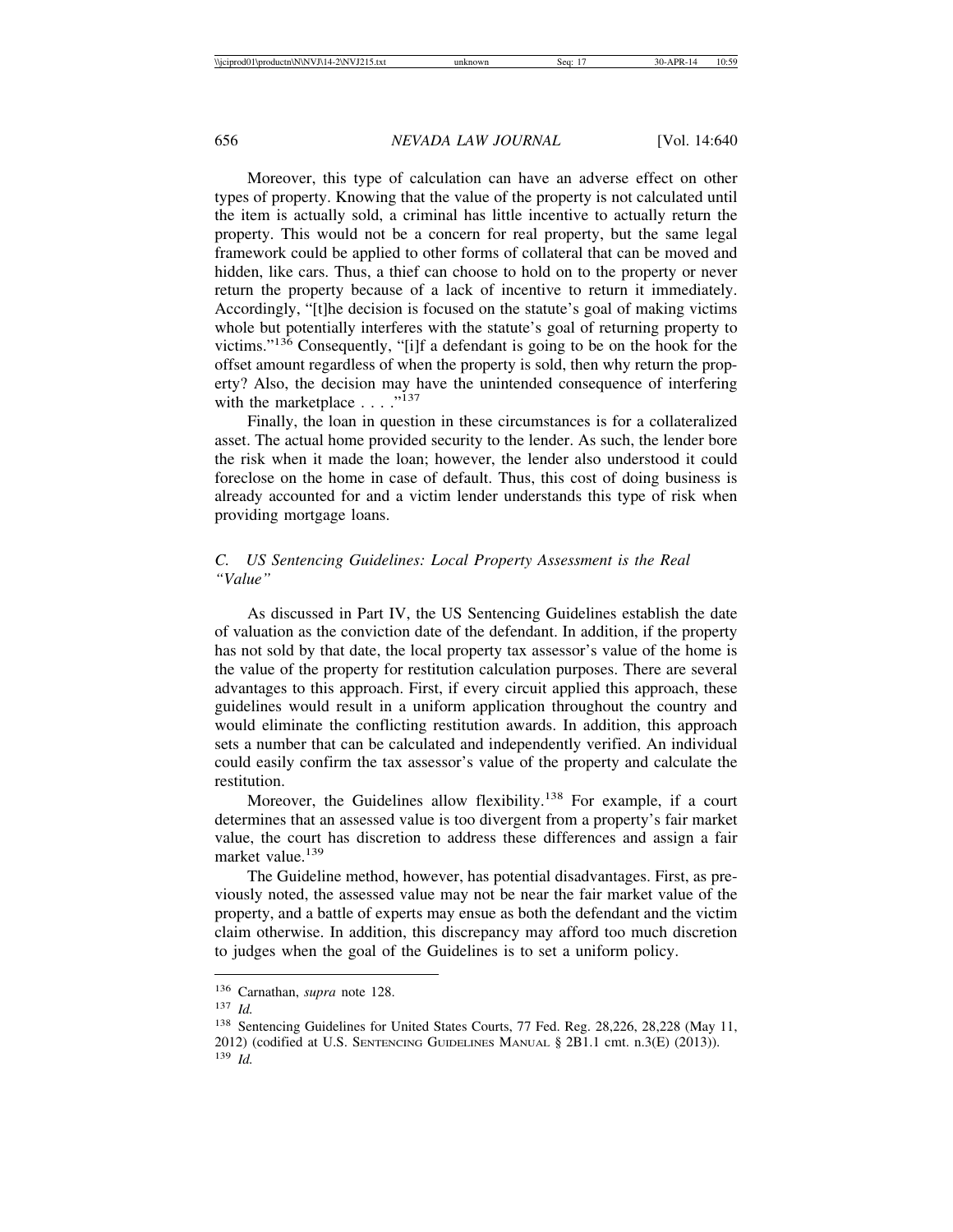Moreover, this type of calculation can have an adverse effect on other types of property. Knowing that the value of the property is not calculated until the item is actually sold, a criminal has little incentive to actually return the property. This would not be a concern for real property, but the same legal framework could be applied to other forms of collateral that can be moved and hidden, like cars. Thus, a thief can choose to hold on to the property or never return the property because of a lack of incentive to return it immediately. Accordingly, "[t]he decision is focused on the statute's goal of making victims whole but potentially interferes with the statute's goal of returning property to victims."136 Consequently, "[i]f a defendant is going to be on the hook for the offset amount regardless of when the property is sold, then why return the property? Also, the decision may have the unintended consequence of interfering with the marketplace  $\ldots$  ..."<sup>137</sup>

Finally, the loan in question in these circumstances is for a collateralized asset. The actual home provided security to the lender. As such, the lender bore the risk when it made the loan; however, the lender also understood it could foreclose on the home in case of default. Thus, this cost of doing business is already accounted for and a victim lender understands this type of risk when providing mortgage loans.

# *C. US Sentencing Guidelines: Local Property Assessment is the Real "Value"*

As discussed in Part IV, the US Sentencing Guidelines establish the date of valuation as the conviction date of the defendant. In addition, if the property has not sold by that date, the local property tax assessor's value of the home is the value of the property for restitution calculation purposes. There are several advantages to this approach. First, if every circuit applied this approach, these guidelines would result in a uniform application throughout the country and would eliminate the conflicting restitution awards. In addition, this approach sets a number that can be calculated and independently verified. An individual could easily confirm the tax assessor's value of the property and calculate the restitution.

Moreover, the Guidelines allow flexibility.<sup>138</sup> For example, if a court determines that an assessed value is too divergent from a property's fair market value, the court has discretion to address these differences and assign a fair market value.<sup>139</sup>

The Guideline method, however, has potential disadvantages. First, as previously noted, the assessed value may not be near the fair market value of the property, and a battle of experts may ensue as both the defendant and the victim claim otherwise. In addition, this discrepancy may afford too much discretion to judges when the goal of the Guidelines is to set a uniform policy.

<sup>136</sup> Carnathan, *supra* note 128.

<sup>137</sup> *Id.*

<sup>138</sup> Sentencing Guidelines for United States Courts, 77 Fed. Reg. 28,226, 28,228 (May 11, 2012) (codified at U.S. SENTENCING GUIDELINES MANUAL § 2B1.1 cmt. n.3(E) (2013)).

<sup>139</sup> *Id.*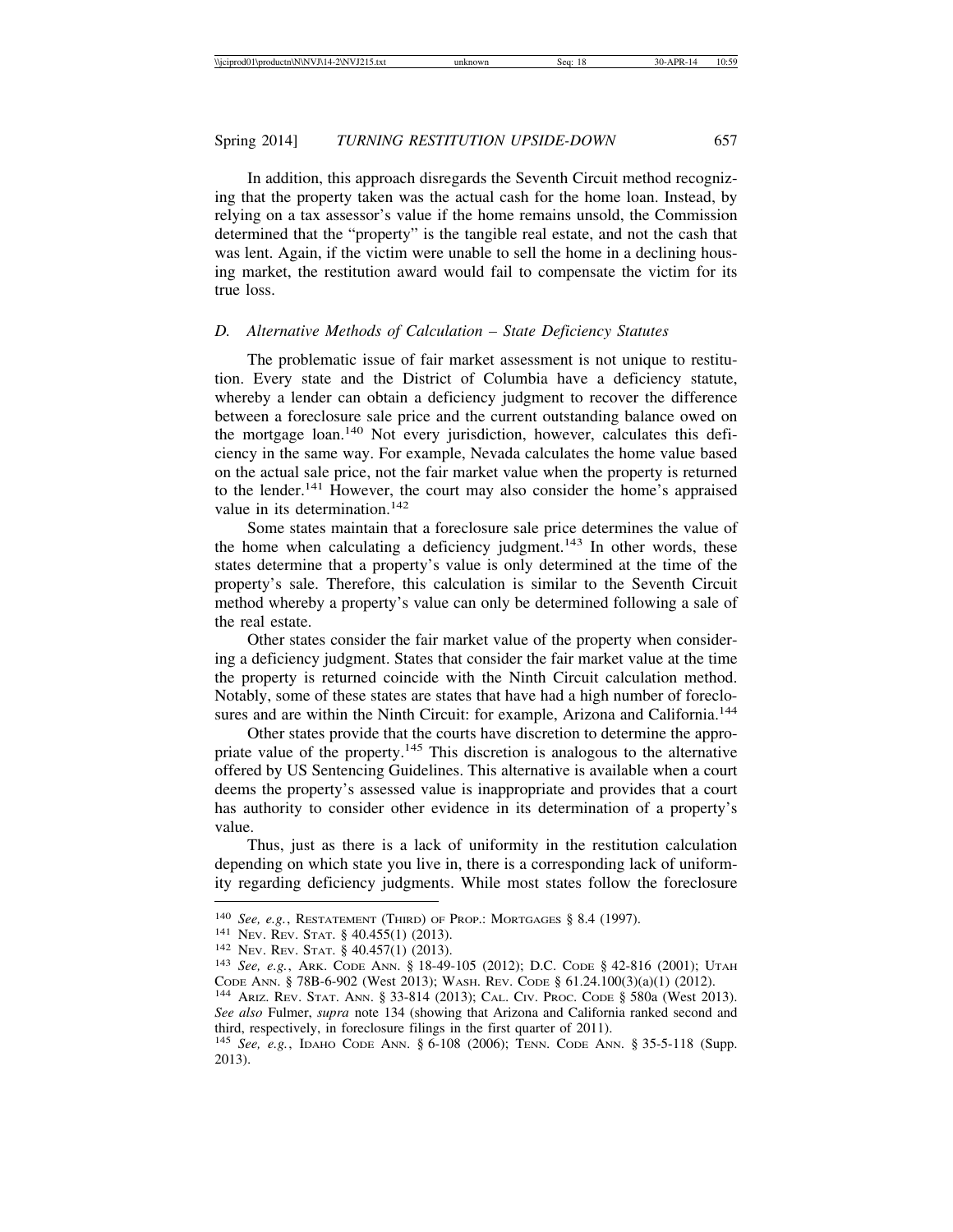In addition, this approach disregards the Seventh Circuit method recognizing that the property taken was the actual cash for the home loan. Instead, by relying on a tax assessor's value if the home remains unsold, the Commission determined that the "property" is the tangible real estate, and not the cash that was lent. Again, if the victim were unable to sell the home in a declining housing market, the restitution award would fail to compensate the victim for its true loss.

# *D. Alternative Methods of Calculation – State Deficiency Statutes*

The problematic issue of fair market assessment is not unique to restitution. Every state and the District of Columbia have a deficiency statute, whereby a lender can obtain a deficiency judgment to recover the difference between a foreclosure sale price and the current outstanding balance owed on the mortgage loan.<sup>140</sup> Not every jurisdiction, however, calculates this deficiency in the same way. For example, Nevada calculates the home value based on the actual sale price, not the fair market value when the property is returned to the lender.<sup>141</sup> However, the court may also consider the home's appraised value in its determination.<sup>142</sup>

Some states maintain that a foreclosure sale price determines the value of the home when calculating a deficiency judgment.<sup>143</sup> In other words, these states determine that a property's value is only determined at the time of the property's sale. Therefore, this calculation is similar to the Seventh Circuit method whereby a property's value can only be determined following a sale of the real estate.

Other states consider the fair market value of the property when considering a deficiency judgment. States that consider the fair market value at the time the property is returned coincide with the Ninth Circuit calculation method. Notably, some of these states are states that have had a high number of foreclosures and are within the Ninth Circuit: for example, Arizona and California.<sup>144</sup>

Other states provide that the courts have discretion to determine the appropriate value of the property.<sup>145</sup> This discretion is analogous to the alternative offered by US Sentencing Guidelines. This alternative is available when a court deems the property's assessed value is inappropriate and provides that a court has authority to consider other evidence in its determination of a property's value.

Thus, just as there is a lack of uniformity in the restitution calculation depending on which state you live in, there is a corresponding lack of uniformity regarding deficiency judgments. While most states follow the foreclosure

<sup>&</sup>lt;sup>140</sup> *See, e.g.*, RESTATEMENT (THIRD) OF PROP.: MORTGAGES § 8.4 (1997).<br><sup>141</sup> Nev. Rev. Stat. § 40.455(1) (2013).<br><sup>142</sup> Nev. Rev. Stat. § 40.457(1) (2013).<br><sup>143</sup> *See, e.g.*, Ark. Code Ann. § 18-49-105 (2012); D.C. Code § CODE ANN. § 78B-6-902 (West 2013); WASH. REV. CODE § 61.24.100(3)(a)(1) (2012). <sup>144</sup> ARIZ. REV. STAT. ANN. § 33-814 (2013); CAL. CIV. PROC. CODE § 580a (West 2013).

*See also* Fulmer, *supra* note 134 (showing that Arizona and California ranked second and third, respectively, in foreclosure filings in the first quarter of 2011).

<sup>145</sup> *See, e.g.*, IDAHO CODE ANN. § 6-108 (2006); TENN. CODE ANN. § 35-5-118 (Supp. 2013).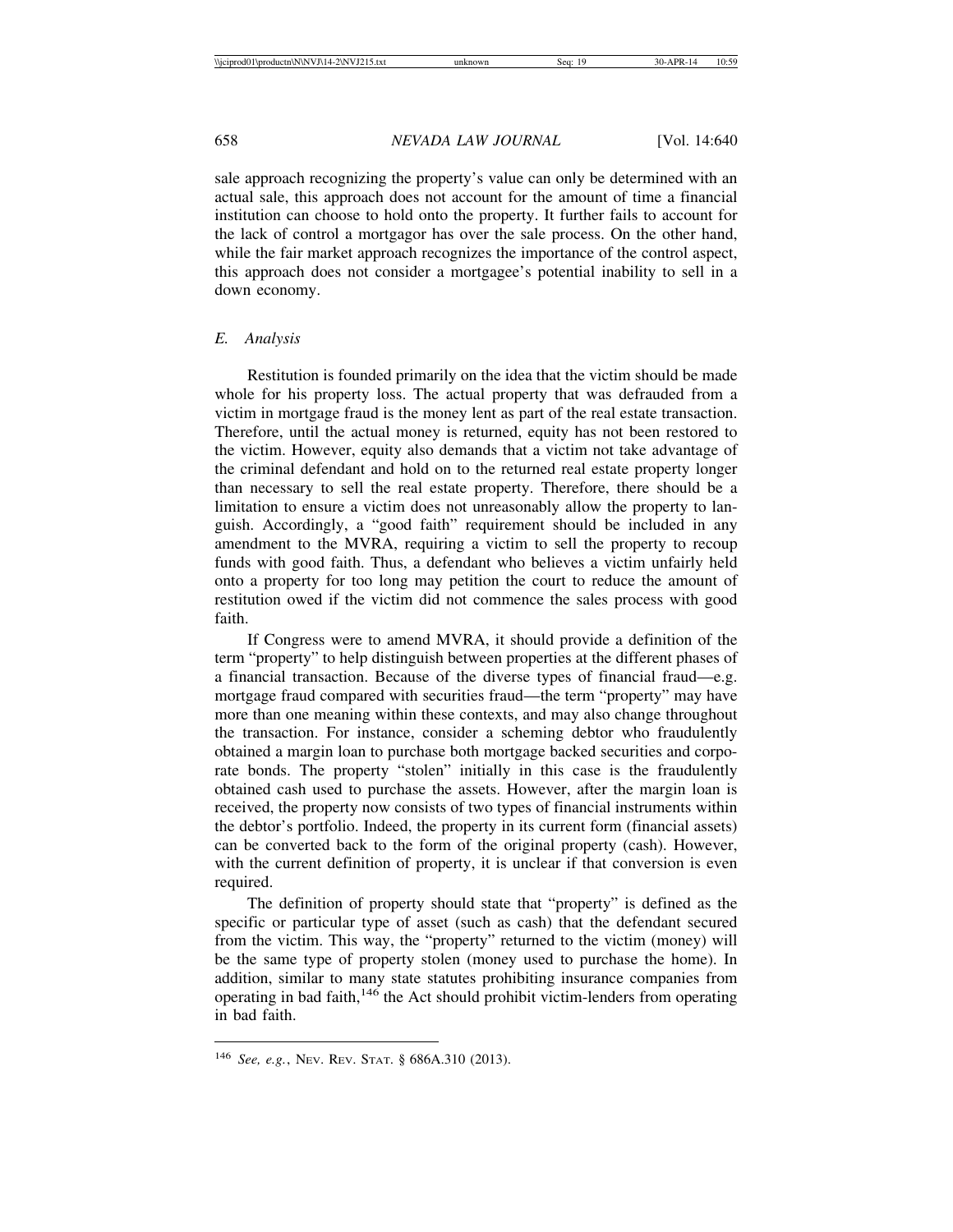sale approach recognizing the property's value can only be determined with an actual sale, this approach does not account for the amount of time a financial institution can choose to hold onto the property. It further fails to account for the lack of control a mortgagor has over the sale process. On the other hand, while the fair market approach recognizes the importance of the control aspect, this approach does not consider a mortgagee's potential inability to sell in a down economy.

#### *E. Analysis*

Restitution is founded primarily on the idea that the victim should be made whole for his property loss. The actual property that was defrauded from a victim in mortgage fraud is the money lent as part of the real estate transaction. Therefore, until the actual money is returned, equity has not been restored to the victim. However, equity also demands that a victim not take advantage of the criminal defendant and hold on to the returned real estate property longer than necessary to sell the real estate property. Therefore, there should be a limitation to ensure a victim does not unreasonably allow the property to languish. Accordingly, a "good faith" requirement should be included in any amendment to the MVRA, requiring a victim to sell the property to recoup funds with good faith. Thus, a defendant who believes a victim unfairly held onto a property for too long may petition the court to reduce the amount of restitution owed if the victim did not commence the sales process with good faith.

If Congress were to amend MVRA, it should provide a definition of the term "property" to help distinguish between properties at the different phases of a financial transaction. Because of the diverse types of financial fraud—e.g. mortgage fraud compared with securities fraud—the term "property" may have more than one meaning within these contexts, and may also change throughout the transaction. For instance, consider a scheming debtor who fraudulently obtained a margin loan to purchase both mortgage backed securities and corporate bonds. The property "stolen" initially in this case is the fraudulently obtained cash used to purchase the assets. However, after the margin loan is received, the property now consists of two types of financial instruments within the debtor's portfolio. Indeed, the property in its current form (financial assets) can be converted back to the form of the original property (cash). However, with the current definition of property, it is unclear if that conversion is even required.

The definition of property should state that "property" is defined as the specific or particular type of asset (such as cash) that the defendant secured from the victim. This way, the "property" returned to the victim (money) will be the same type of property stolen (money used to purchase the home). In addition, similar to many state statutes prohibiting insurance companies from operating in bad faith, $146$  the Act should prohibit victim-lenders from operating in bad faith.

<sup>146</sup> *See, e.g.*, NEV. REV. STAT. § 686A.310 (2013).